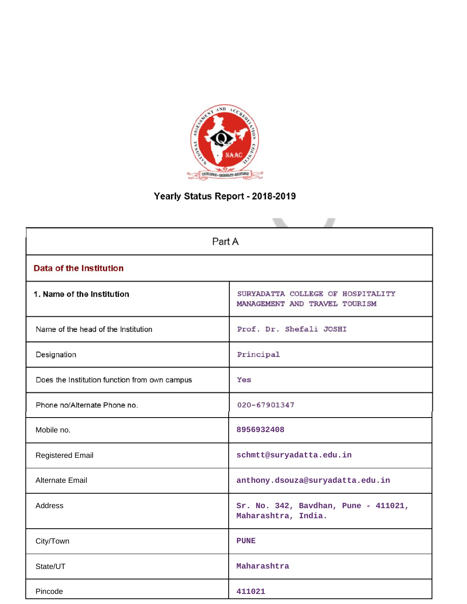

# Yearly Status Report - 2018-2019

| Part A                                        |                                                                    |  |  |  |  |  |  |
|-----------------------------------------------|--------------------------------------------------------------------|--|--|--|--|--|--|
| <b>Data of the Institution</b>                |                                                                    |  |  |  |  |  |  |
| 1. Name of the Institution                    | SURYADATTA COLLEGE OF HOSPITALITY<br>MANAGEMENT AND TRAVEL TOURISM |  |  |  |  |  |  |
| Name of the head of the Institution           | Prof. Dr. Shefali JOSHI                                            |  |  |  |  |  |  |
| Designation                                   | Principal                                                          |  |  |  |  |  |  |
| Does the Institution function from own campus | Yes                                                                |  |  |  |  |  |  |
| Phone no/Alternate Phone no.                  | 020-67901347                                                       |  |  |  |  |  |  |
| Mobile no.                                    | 8956932408                                                         |  |  |  |  |  |  |
| <b>Registered Email</b>                       | schmtt@suryadatta.edu.in                                           |  |  |  |  |  |  |
| <b>Alternate Email</b>                        | anthony.dsouza@suryadatta.edu.in                                   |  |  |  |  |  |  |
| Address                                       | Sr. No. 342, Bavdhan, Pune - 411021,<br>Maharashtra, India.        |  |  |  |  |  |  |
| City/Town                                     | <b>PUNE</b>                                                        |  |  |  |  |  |  |
| State/UT                                      | Maharashtra                                                        |  |  |  |  |  |  |
| Pincode                                       | 411021                                                             |  |  |  |  |  |  |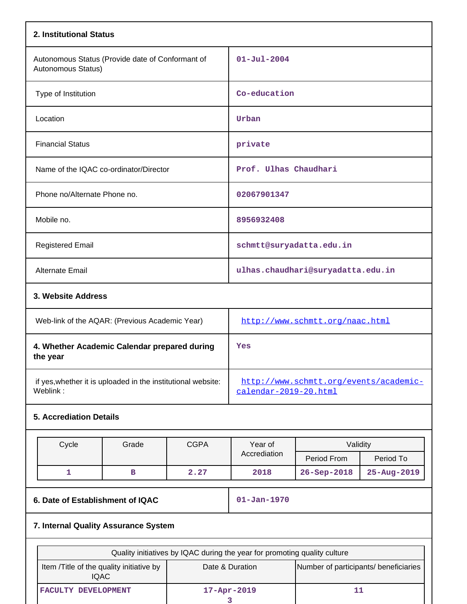| 2. Institutional Status                                                  |                                                                 |
|--------------------------------------------------------------------------|-----------------------------------------------------------------|
| Autonomous Status (Provide date of Conformant of<br>Autonomous Status)   | $01 - Ju1 - 2004$                                               |
| Type of Institution                                                      | Co-education                                                    |
| Location                                                                 | Urban                                                           |
| <b>Financial Status</b>                                                  | private                                                         |
| Name of the IQAC co-ordinator/Director                                   | Prof. Ulhas Chaudhari                                           |
| Phone no/Alternate Phone no.                                             | 02067901347                                                     |
| Mobile no.                                                               | 8956932408                                                      |
| <b>Registered Email</b>                                                  | schmtt@suryadatta.edu.in                                        |
| <b>Alternate Email</b>                                                   | ulhas.chaudhari@suryadatta.edu.in                               |
| 3. Website Address                                                       |                                                                 |
| Web-link of the AQAR: (Previous Academic Year)                           | http://www.schmtt.org/naac.html                                 |
| 4. Whether Academic Calendar prepared during<br>the year                 | Yes                                                             |
| if yes, whether it is uploaded in the institutional website:<br>Weblink: | http://www.schmtt.org/events/academic-<br>calendar-2019-20.html |

# **5. Accrediation Details**

| Cycle                                                   | Grade                                | <b>CGPA</b> | Year of                                                                   | Validity                              |             |  |
|---------------------------------------------------------|--------------------------------------|-------------|---------------------------------------------------------------------------|---------------------------------------|-------------|--|
|                                                         |                                      |             | Accrediation                                                              | Period From                           | Period To   |  |
| 1                                                       | в                                    | 2.27        | 2018                                                                      | $26 - Sep - 2018$                     | 25-Aug-2019 |  |
| 6. Date of Establishment of IQAC                        |                                      |             | $01 - Jan - 1970$                                                         |                                       |             |  |
|                                                         | 7. Internal Quality Assurance System |             |                                                                           |                                       |             |  |
|                                                         |                                      |             | Quality initiatives by IQAC during the year for promoting quality culture |                                       |             |  |
| Item /Title of the quality initiative by<br><b>IQAC</b> |                                      |             | Date & Duration                                                           | Number of participants/ beneficiaries |             |  |
| FACULTY DEVELOPMENT                                     |                                      |             | 17-Apr-2019                                                               | 11                                    |             |  |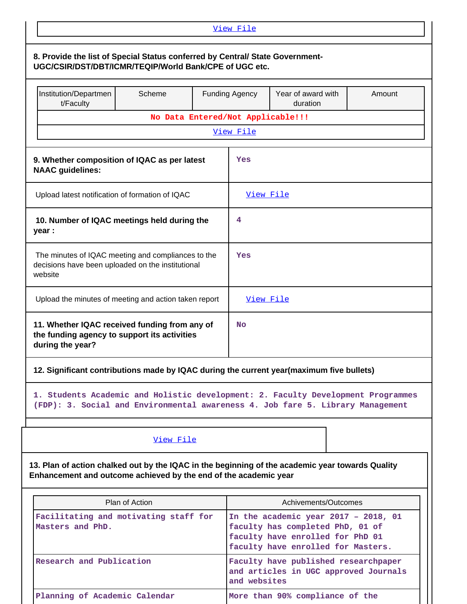|                                                                                                                                                                      |                                   | View File                                                                                                                                             |                                 |  |  |  |  |
|----------------------------------------------------------------------------------------------------------------------------------------------------------------------|-----------------------------------|-------------------------------------------------------------------------------------------------------------------------------------------------------|---------------------------------|--|--|--|--|
| 8. Provide the list of Special Status conferred by Central/ State Government-<br>UGC/CSIR/DST/DBT/ICMR/TEQIP/World Bank/CPE of UGC etc.                              |                                   |                                                                                                                                                       |                                 |  |  |  |  |
| Institution/Departmen<br>t/Faculty                                                                                                                                   | Scheme                            | <b>Funding Agency</b><br>Year of award with<br>Amount<br>duration                                                                                     |                                 |  |  |  |  |
|                                                                                                                                                                      | No Data Entered/Not Applicable!!! |                                                                                                                                                       |                                 |  |  |  |  |
|                                                                                                                                                                      |                                   | View File                                                                                                                                             |                                 |  |  |  |  |
| 9. Whether composition of IQAC as per latest<br><b>NAAC</b> guidelines:                                                                                              |                                   | Yes                                                                                                                                                   |                                 |  |  |  |  |
| Upload latest notification of formation of IQAC                                                                                                                      |                                   | View File                                                                                                                                             |                                 |  |  |  |  |
| 10. Number of IQAC meetings held during the<br>year :                                                                                                                |                                   | 4                                                                                                                                                     |                                 |  |  |  |  |
| The minutes of IQAC meeting and compliances to the<br>decisions have been uploaded on the institutional<br>website                                                   |                                   | Yes                                                                                                                                                   |                                 |  |  |  |  |
| Upload the minutes of meeting and action taken report                                                                                                                |                                   | View File                                                                                                                                             |                                 |  |  |  |  |
| 11. Whether IQAC received funding from any of<br>the funding agency to support its activities<br>during the year?                                                    |                                   | <b>No</b>                                                                                                                                             |                                 |  |  |  |  |
| 12. Significant contributions made by IQAC during the current year(maximum five bullets)                                                                             |                                   |                                                                                                                                                       |                                 |  |  |  |  |
| 1. Students Academic and Holistic development: 2. Faculty Development Programmes<br>(FDP): 3. Social and Environmental awareness 4. Job fare 5. Library Management   |                                   |                                                                                                                                                       |                                 |  |  |  |  |
|                                                                                                                                                                      | View File                         |                                                                                                                                                       |                                 |  |  |  |  |
| 13. Plan of action chalked out by the IQAC in the beginning of the academic year towards Quality<br>Enhancement and outcome achieved by the end of the academic year |                                   |                                                                                                                                                       |                                 |  |  |  |  |
|                                                                                                                                                                      | Plan of Action                    |                                                                                                                                                       | Achivements/Outcomes            |  |  |  |  |
| Facilitating and motivating staff for<br>Masters and PhD.                                                                                                            |                                   | In the academic year $2017 - 2018$ , 01<br>faculty has completed PhD, 01 of<br>faculty have enrolled for PhD 01<br>faculty have enrolled for Masters. |                                 |  |  |  |  |
| Research and Publication                                                                                                                                             |                                   | Faculty have published researchpaper<br>and articles in UGC approved Journals<br>and websites                                                         |                                 |  |  |  |  |
| Planning of Academic Calendar                                                                                                                                        |                                   |                                                                                                                                                       | More than 90% compliance of the |  |  |  |  |

 $\mathbf{L}$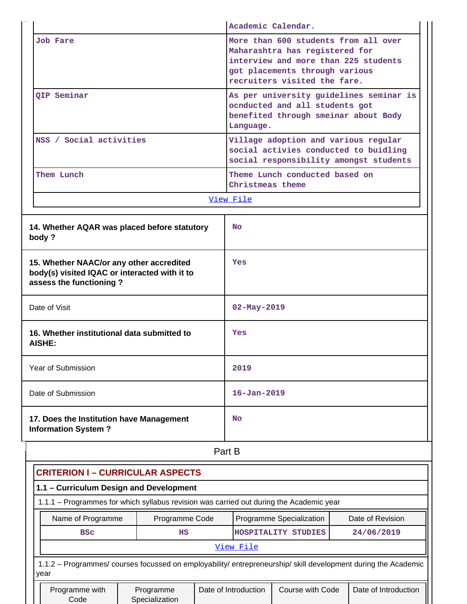|                                                                                                                        |                |                                                                  |                                                                                                                                                                                  | Academic Calendar.             |                                                                                                                         |  |  |
|------------------------------------------------------------------------------------------------------------------------|----------------|------------------------------------------------------------------|----------------------------------------------------------------------------------------------------------------------------------------------------------------------------------|--------------------------------|-------------------------------------------------------------------------------------------------------------------------|--|--|
| <b>Job Fare</b>                                                                                                        |                |                                                                  | More than 600 students from all over<br>Maharashtra has registered for<br>interview and more than 225 students<br>got placements through various<br>recruiters visited the fare. |                                |                                                                                                                         |  |  |
| QIP Seminar                                                                                                            |                |                                                                  | Language.                                                                                                                                                                        | ocnducted and all students got | As per university guidelines seminar is<br>benefited through smeinar about Body                                         |  |  |
| NSS / Social activities                                                                                                |                |                                                                  |                                                                                                                                                                                  |                                | Village adoption and various regular<br>social activies conducted to buidling<br>social responsibility amongst students |  |  |
| Them Lunch                                                                                                             |                |                                                                  | Christmeas theme                                                                                                                                                                 | Theme Lunch conducted based on |                                                                                                                         |  |  |
|                                                                                                                        |                | View File                                                        |                                                                                                                                                                                  |                                |                                                                                                                         |  |  |
| 14. Whether AQAR was placed before statutory<br>body?                                                                  |                |                                                                  | <b>No</b>                                                                                                                                                                        |                                |                                                                                                                         |  |  |
| 15. Whether NAAC/or any other accredited<br>body(s) visited IQAC or interacted with it to<br>assess the functioning?   |                |                                                                  | Yes                                                                                                                                                                              |                                |                                                                                                                         |  |  |
| Date of Visit                                                                                                          |                |                                                                  | $02 - May - 2019$                                                                                                                                                                |                                |                                                                                                                         |  |  |
| 16. Whether institutional data submitted to<br>AISHE:                                                                  |                |                                                                  | Yes                                                                                                                                                                              |                                |                                                                                                                         |  |  |
| Year of Submission                                                                                                     |                |                                                                  | 2019                                                                                                                                                                             |                                |                                                                                                                         |  |  |
| Date of Submission                                                                                                     |                |                                                                  | $16 - Jan - 2019$                                                                                                                                                                |                                |                                                                                                                         |  |  |
| 17. Does the Institution have Management<br><b>Information System?</b>                                                 |                |                                                                  | No                                                                                                                                                                               |                                |                                                                                                                         |  |  |
|                                                                                                                        |                | Part B                                                           |                                                                                                                                                                                  |                                |                                                                                                                         |  |  |
| <b>CRITERION I - CURRICULAR ASPECTS</b>                                                                                |                |                                                                  |                                                                                                                                                                                  |                                |                                                                                                                         |  |  |
| 1.1 - Curriculum Design and Development                                                                                |                |                                                                  |                                                                                                                                                                                  |                                |                                                                                                                         |  |  |
| 1.1.1 - Programmes for which syllabus revision was carried out during the Academic year                                |                |                                                                  |                                                                                                                                                                                  |                                |                                                                                                                         |  |  |
| Name of Programme                                                                                                      | Programme Code |                                                                  | Programme Specialization<br>Date of Revision                                                                                                                                     |                                |                                                                                                                         |  |  |
| <b>BSC</b>                                                                                                             | HS             |                                                                  |                                                                                                                                                                                  | HOSPITALITY STUDIES            | 24/06/2019                                                                                                              |  |  |
|                                                                                                                        |                |                                                                  | View File                                                                                                                                                                        |                                |                                                                                                                         |  |  |
| 1.1.2 - Programmes/ courses focussed on employability/ entrepreneurship/ skill development during the Academic<br>year |                |                                                                  |                                                                                                                                                                                  |                                |                                                                                                                         |  |  |
| Programme with<br>Code                                                                                                 |                | Date of Introduction<br>Course with Code<br>Date of Introduction |                                                                                                                                                                                  |                                |                                                                                                                         |  |  |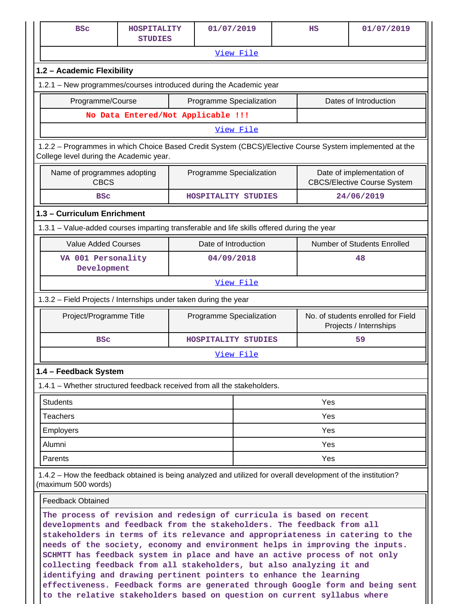| <b>BSC</b>                                                                                                                                                                                                                                                                                                                                                                                                                                                                                                                                  | HOSPITALITY<br><b>STUDIES</b>      |  | 01/07/2019               |                  |  | $_{\rm HS}$ | 01/07/2019                                                      |
|---------------------------------------------------------------------------------------------------------------------------------------------------------------------------------------------------------------------------------------------------------------------------------------------------------------------------------------------------------------------------------------------------------------------------------------------------------------------------------------------------------------------------------------------|------------------------------------|--|--------------------------|------------------|--|-------------|-----------------------------------------------------------------|
|                                                                                                                                                                                                                                                                                                                                                                                                                                                                                                                                             |                                    |  |                          | View File        |  |             |                                                                 |
| 1.2 - Academic Flexibility                                                                                                                                                                                                                                                                                                                                                                                                                                                                                                                  |                                    |  |                          |                  |  |             |                                                                 |
| 1.2.1 - New programmes/courses introduced during the Academic year                                                                                                                                                                                                                                                                                                                                                                                                                                                                          |                                    |  |                          |                  |  |             |                                                                 |
| Programme/Course<br>Programme Specialization<br>Dates of Introduction                                                                                                                                                                                                                                                                                                                                                                                                                                                                       |                                    |  |                          |                  |  |             |                                                                 |
|                                                                                                                                                                                                                                                                                                                                                                                                                                                                                                                                             | No Data Entered/Not Applicable !!! |  |                          |                  |  |             |                                                                 |
|                                                                                                                                                                                                                                                                                                                                                                                                                                                                                                                                             |                                    |  |                          | View File        |  |             |                                                                 |
| 1.2.2 - Programmes in which Choice Based Credit System (CBCS)/Elective Course System implemented at the<br>College level during the Academic year.                                                                                                                                                                                                                                                                                                                                                                                          |                                    |  |                          |                  |  |             |                                                                 |
| Name of programmes adopting<br><b>CBCS</b>                                                                                                                                                                                                                                                                                                                                                                                                                                                                                                  |                                    |  | Programme Specialization |                  |  |             | Date of implementation of<br><b>CBCS/Elective Course System</b> |
| <b>BSC</b>                                                                                                                                                                                                                                                                                                                                                                                                                                                                                                                                  |                                    |  | HOSPITALITY STUDIES      |                  |  |             | 24/06/2019                                                      |
| 1.3 - Curriculum Enrichment                                                                                                                                                                                                                                                                                                                                                                                                                                                                                                                 |                                    |  |                          |                  |  |             |                                                                 |
| 1.3.1 – Value-added courses imparting transferable and life skills offered during the year                                                                                                                                                                                                                                                                                                                                                                                                                                                  |                                    |  |                          |                  |  |             |                                                                 |
| <b>Value Added Courses</b>                                                                                                                                                                                                                                                                                                                                                                                                                                                                                                                  |                                    |  | Date of Introduction     |                  |  |             | Number of Students Enrolled                                     |
| VA 001 Personality<br>Development                                                                                                                                                                                                                                                                                                                                                                                                                                                                                                           |                                    |  | 04/09/2018               |                  |  |             | 48                                                              |
|                                                                                                                                                                                                                                                                                                                                                                                                                                                                                                                                             |                                    |  |                          | View File        |  |             |                                                                 |
| 1.3.2 - Field Projects / Internships under taken during the year                                                                                                                                                                                                                                                                                                                                                                                                                                                                            |                                    |  |                          |                  |  |             |                                                                 |
| Project/Programme Title                                                                                                                                                                                                                                                                                                                                                                                                                                                                                                                     |                                    |  | Programme Specialization |                  |  |             | No. of students enrolled for Field<br>Projects / Internships    |
| <b>BSC</b>                                                                                                                                                                                                                                                                                                                                                                                                                                                                                                                                  |                                    |  | HOSPITALITY STUDIES      |                  |  |             | 59                                                              |
|                                                                                                                                                                                                                                                                                                                                                                                                                                                                                                                                             |                                    |  |                          | <u>View File</u> |  |             |                                                                 |
| 1.4 - Feedback System                                                                                                                                                                                                                                                                                                                                                                                                                                                                                                                       |                                    |  |                          |                  |  |             |                                                                 |
| 1.4.1 - Whether structured feedback received from all the stakeholders.                                                                                                                                                                                                                                                                                                                                                                                                                                                                     |                                    |  |                          |                  |  |             |                                                                 |
| <b>Students</b>                                                                                                                                                                                                                                                                                                                                                                                                                                                                                                                             |                                    |  |                          |                  |  | Yes         |                                                                 |
| <b>Teachers</b>                                                                                                                                                                                                                                                                                                                                                                                                                                                                                                                             |                                    |  |                          |                  |  | Yes         |                                                                 |
| Employers                                                                                                                                                                                                                                                                                                                                                                                                                                                                                                                                   |                                    |  |                          |                  |  | Yes         |                                                                 |
| Alumni                                                                                                                                                                                                                                                                                                                                                                                                                                                                                                                                      |                                    |  |                          |                  |  | Yes         |                                                                 |
| Parents                                                                                                                                                                                                                                                                                                                                                                                                                                                                                                                                     |                                    |  |                          |                  |  | Yes         |                                                                 |
| 1.4.2 – How the feedback obtained is being analyzed and utilized for overall development of the institution?<br>(maximum 500 words)                                                                                                                                                                                                                                                                                                                                                                                                         |                                    |  |                          |                  |  |             |                                                                 |
| <b>Feedback Obtained</b>                                                                                                                                                                                                                                                                                                                                                                                                                                                                                                                    |                                    |  |                          |                  |  |             |                                                                 |
| The process of revision and redesign of curricula is based on recent<br>developments and feedback from the stakeholders. The feedback from all<br>stakeholders in terms of its relevance and appropriateness in catering to the<br>needs of the society, economy and environment helps in improving the inputs.<br>SCHMTT has feedback system in place and have an active process of not only<br>collecting feedback from all stakeholders, but also analyzing it and<br>identifying and drawing pertinent pointers to enhance the learning |                                    |  |                          |                  |  |             |                                                                 |

**effectiveness. Feedback forms are generated through Google form and being sent**

**to the relative stakeholders based on question on current syllabus where**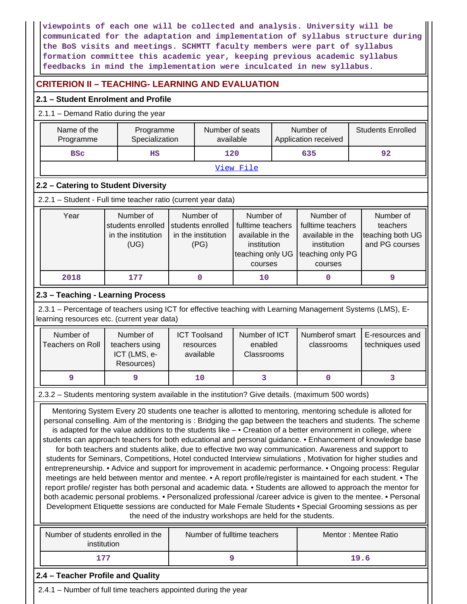**viewpoints of each one will be collected and analysis. University will be communicated for the adaptation and implementation of syllabus structure during the BoS visits and meetings. SCHMTT faculty members were part of syllabus formation committee this academic year, keeping previous academic syllabus feedbacks in mind the implementation were inculcated in new syllabus.**

# **CRITERION II – TEACHING- LEARNING AND EVALUATION**

## **2.1 – Student Enrolment and Profile**

 $2.11 -$  Demand Ratio during the year of the year of the year of the year of the year of the year of the year of the year of the year of the year of the year of the year of the year of the year of the year of the year of t

| Name of the<br>Programme                    | Programme<br>Specialization                                                                                                                                                                                                                                                                                                            |                                                               | Number of seats<br>available                                                                     | Number of<br>Application received |                                                                                                  | <b>Students Enrolled</b>                                                                                                                                                                                                                                                                                                                                                                                                                                                                                                                                                                                                                                                                                                                                                                                                                                                                                                     |
|---------------------------------------------|----------------------------------------------------------------------------------------------------------------------------------------------------------------------------------------------------------------------------------------------------------------------------------------------------------------------------------------|---------------------------------------------------------------|--------------------------------------------------------------------------------------------------|-----------------------------------|--------------------------------------------------------------------------------------------------|------------------------------------------------------------------------------------------------------------------------------------------------------------------------------------------------------------------------------------------------------------------------------------------------------------------------------------------------------------------------------------------------------------------------------------------------------------------------------------------------------------------------------------------------------------------------------------------------------------------------------------------------------------------------------------------------------------------------------------------------------------------------------------------------------------------------------------------------------------------------------------------------------------------------------|
| <b>BSC</b>                                  | $_{\rm HS}$                                                                                                                                                                                                                                                                                                                            |                                                               | 120                                                                                              |                                   | 635                                                                                              | 92                                                                                                                                                                                                                                                                                                                                                                                                                                                                                                                                                                                                                                                                                                                                                                                                                                                                                                                           |
|                                             |                                                                                                                                                                                                                                                                                                                                        |                                                               | View File                                                                                        |                                   |                                                                                                  |                                                                                                                                                                                                                                                                                                                                                                                                                                                                                                                                                                                                                                                                                                                                                                                                                                                                                                                              |
|                                             | 2.2 - Catering to Student Diversity                                                                                                                                                                                                                                                                                                    |                                                               |                                                                                                  |                                   |                                                                                                  |                                                                                                                                                                                                                                                                                                                                                                                                                                                                                                                                                                                                                                                                                                                                                                                                                                                                                                                              |
|                                             | 2.2.1 - Student - Full time teacher ratio (current year data)                                                                                                                                                                                                                                                                          |                                                               |                                                                                                  |                                   |                                                                                                  |                                                                                                                                                                                                                                                                                                                                                                                                                                                                                                                                                                                                                                                                                                                                                                                                                                                                                                                              |
| Year                                        | Number of<br>students enrolled<br>in the institution<br>(UG)                                                                                                                                                                                                                                                                           | Number of<br>students enrolled<br>in the institution<br>(PG)  | Number of<br>fulltime teachers<br>available in the<br>institution<br>teaching only UG<br>courses |                                   | Number of<br>fulltime teachers<br>available in the<br>institution<br>teaching only PG<br>courses | Number of<br>teachers<br>teaching both UG<br>and PG courses                                                                                                                                                                                                                                                                                                                                                                                                                                                                                                                                                                                                                                                                                                                                                                                                                                                                  |
| 2018                                        | 177                                                                                                                                                                                                                                                                                                                                    | $\mathbf 0$                                                   | 10                                                                                               |                                   | 0                                                                                                | 9                                                                                                                                                                                                                                                                                                                                                                                                                                                                                                                                                                                                                                                                                                                                                                                                                                                                                                                            |
|                                             | 2.3 - Teaching - Learning Process                                                                                                                                                                                                                                                                                                      |                                                               |                                                                                                  |                                   |                                                                                                  |                                                                                                                                                                                                                                                                                                                                                                                                                                                                                                                                                                                                                                                                                                                                                                                                                                                                                                                              |
|                                             | 2.3.1 – Percentage of teachers using ICT for effective teaching with Learning Management Systems (LMS), E-                                                                                                                                                                                                                             |                                                               |                                                                                                  |                                   |                                                                                                  |                                                                                                                                                                                                                                                                                                                                                                                                                                                                                                                                                                                                                                                                                                                                                                                                                                                                                                                              |
| learning resources etc. (current year data) |                                                                                                                                                                                                                                                                                                                                        |                                                               |                                                                                                  |                                   |                                                                                                  |                                                                                                                                                                                                                                                                                                                                                                                                                                                                                                                                                                                                                                                                                                                                                                                                                                                                                                                              |
| Number of<br><b>Teachers on Roll</b>        | Number of<br>teachers using<br>ICT (LMS, e-<br>Resources)                                                                                                                                                                                                                                                                              | <b>ICT Toolsand</b><br>resources<br>available                 | Number of ICT<br>enabled<br>Classrooms                                                           |                                   | Numberof smart<br>classrooms                                                                     | E-resources and<br>techniques used                                                                                                                                                                                                                                                                                                                                                                                                                                                                                                                                                                                                                                                                                                                                                                                                                                                                                           |
| 9                                           | 9                                                                                                                                                                                                                                                                                                                                      | 10                                                            | 3                                                                                                |                                   | $\mathbf 0$                                                                                      | 3                                                                                                                                                                                                                                                                                                                                                                                                                                                                                                                                                                                                                                                                                                                                                                                                                                                                                                                            |
|                                             | 2.3.2 - Students mentoring system available in the institution? Give details. (maximum 500 words)                                                                                                                                                                                                                                      |                                                               |                                                                                                  |                                   |                                                                                                  |                                                                                                                                                                                                                                                                                                                                                                                                                                                                                                                                                                                                                                                                                                                                                                                                                                                                                                                              |
|                                             | Mentoring System Every 20 students one teacher is allotted to mentoring, mentoring schedule is alloted for<br>is adapted for the value additions to the students like - • Creation of a better environment in college, where<br>for both teachers and students alike, due to effective two way communication. Awareness and support to | the need of the industry workshops are held for the students. |                                                                                                  |                                   |                                                                                                  | personal conselling. Aim of the mentoring is: Bridging the gap between the teachers and students. The scheme<br>students can approach teachers for both educational and personal guidance. • Enhancement of knowledge base<br>students for Seminars, Competitions, Hotel conducted Interview simulations, Motivation for higher studies and<br>entrepreneurship. • Advice and support for improvement in academic performance. • Ongoing process: Regular<br>meetings are held between mentor and mentee. • A report profile/register is maintained for each student. • The<br>report profile/ register has both personal and academic data. • Students are allowed to approach the mentor for<br>both academic personal problems. • Personalized professional /career advice is given to the mentee. • Personal<br>Development Etiquette sessions are conducted for Male Female Students • Special Grooming sessions as per |
| institution                                 | Number of students enrolled in the                                                                                                                                                                                                                                                                                                     |                                                               | Number of fulltime teachers                                                                      |                                   |                                                                                                  | Mentor: Mentee Ratio                                                                                                                                                                                                                                                                                                                                                                                                                                                                                                                                                                                                                                                                                                                                                                                                                                                                                                         |

2.4.1 – Number of full time teachers appointed during the year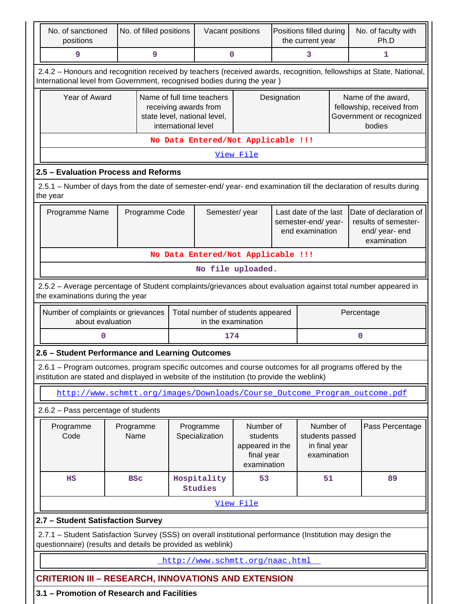| No. of sanctioned<br>positions                                                                                                                                                                                                    | No. of filled positions                                                   |                                                                                                            | Vacant positions                                        |                   |             | Positions filled during<br>the current year                    | No. of faculty with<br>Ph.D                                                           |    |
|-----------------------------------------------------------------------------------------------------------------------------------------------------------------------------------------------------------------------------------|---------------------------------------------------------------------------|------------------------------------------------------------------------------------------------------------|---------------------------------------------------------|-------------------|-------------|----------------------------------------------------------------|---------------------------------------------------------------------------------------|----|
| 9                                                                                                                                                                                                                                 | 9                                                                         |                                                                                                            | 0                                                       |                   | 3           |                                                                | 1                                                                                     |    |
| 2.4.2 - Honours and recognition received by teachers (received awards, recognition, fellowships at State, National,<br>International level from Government, recognised bodies during the year)                                    |                                                                           |                                                                                                            |                                                         |                   |             |                                                                |                                                                                       |    |
| Year of Award                                                                                                                                                                                                                     |                                                                           | Name of full time teachers<br>receiving awards from<br>state level, national level,<br>international level |                                                         |                   | Designation |                                                                | Name of the award,<br>fellowship, received from<br>Government or recognized<br>bodies |    |
|                                                                                                                                                                                                                                   |                                                                           |                                                                                                            | No Data Entered/Not Applicable !!!                      |                   |             |                                                                |                                                                                       |    |
|                                                                                                                                                                                                                                   |                                                                           |                                                                                                            |                                                         | View File         |             |                                                                |                                                                                       |    |
| 2.5 - Evaluation Process and Reforms                                                                                                                                                                                              |                                                                           |                                                                                                            |                                                         |                   |             |                                                                |                                                                                       |    |
| 2.5.1 – Number of days from the date of semester-end/ year- end examination till the declaration of results during<br>the year                                                                                                    |                                                                           |                                                                                                            |                                                         |                   |             |                                                                |                                                                                       |    |
| Programme Name                                                                                                                                                                                                                    | Programme Code                                                            |                                                                                                            | Semester/year                                           |                   |             | Last date of the last<br>semester-end/year-<br>end examination | Date of declaration of<br>results of semester-<br>end/year-end<br>examination         |    |
|                                                                                                                                                                                                                                   |                                                                           |                                                                                                            | No Data Entered/Not Applicable !!!                      |                   |             |                                                                |                                                                                       |    |
|                                                                                                                                                                                                                                   |                                                                           |                                                                                                            |                                                         | No file uploaded. |             |                                                                |                                                                                       |    |
| 2.5.2 - Average percentage of Student complaints/grievances about evaluation against total number appeared in<br>the examinations during the year                                                                                 |                                                                           |                                                                                                            |                                                         |                   |             |                                                                |                                                                                       |    |
| Number of complaints or grievances<br>about evaluation                                                                                                                                                                            |                                                                           |                                                                                                            | Total number of students appeared<br>in the examination |                   |             |                                                                | Percentage                                                                            |    |
| 0                                                                                                                                                                                                                                 |                                                                           |                                                                                                            | 174                                                     |                   |             |                                                                | $\mathbf 0$                                                                           |    |
| 2.6 - Student Performance and Learning Outcomes                                                                                                                                                                                   |                                                                           |                                                                                                            |                                                         |                   |             |                                                                |                                                                                       |    |
| 2.6.1 – Program outcomes, program specific outcomes and course outcomes for all programs offered by the<br>institution are stated and displayed in website of the institution (to provide the weblink)                            |                                                                           |                                                                                                            |                                                         |                   |             |                                                                |                                                                                       |    |
|                                                                                                                                                                                                                                   | http://www.schmtt.org/images/Downloads/Course_Outcome_Program_outcome.pdf |                                                                                                            |                                                         |                   |             |                                                                |                                                                                       |    |
| 2.6.2 - Pass percentage of students                                                                                                                                                                                               |                                                                           |                                                                                                            |                                                         |                   |             |                                                                |                                                                                       |    |
| Number of<br>Pass Percentage<br>Number of<br>Programme<br>Programme<br>Programme<br>Code<br>Name<br>Specialization<br>students<br>students passed<br>appeared in the<br>in final year<br>final year<br>examination<br>examination |                                                                           |                                                                                                            |                                                         |                   |             |                                                                |                                                                                       |    |
| HS                                                                                                                                                                                                                                | <b>BSC</b>                                                                |                                                                                                            | Hospitality<br><b>Studies</b>                           | 53                |             | 51                                                             |                                                                                       | 89 |
|                                                                                                                                                                                                                                   |                                                                           |                                                                                                            |                                                         | <u>View File</u>  |             |                                                                |                                                                                       |    |
| 2.7 - Student Satisfaction Survey                                                                                                                                                                                                 |                                                                           |                                                                                                            |                                                         |                   |             |                                                                |                                                                                       |    |
| 2.7.1 – Student Satisfaction Survey (SSS) on overall institutional performance (Institution may design the<br>questionnaire) (results and details be provided as weblink)                                                         |                                                                           |                                                                                                            |                                                         |                   |             |                                                                |                                                                                       |    |
|                                                                                                                                                                                                                                   |                                                                           |                                                                                                            |                                                         |                   |             |                                                                |                                                                                       |    |

**3.1 – Promotion of Research and Facilities**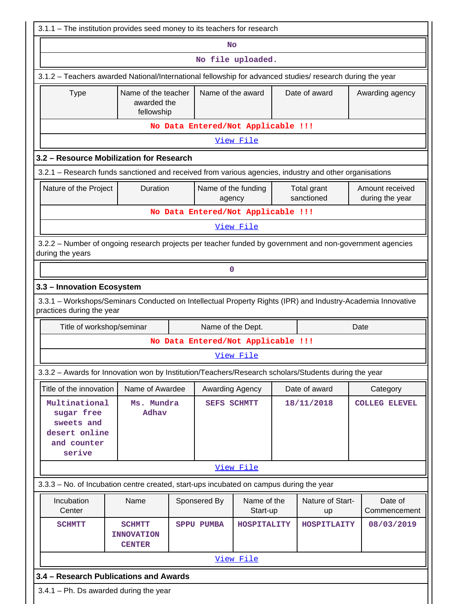| 3.1.1 - The institution provides seed money to its teachers for research                                                                 |                                                     |                                    |                         |                           |                                    |
|------------------------------------------------------------------------------------------------------------------------------------------|-----------------------------------------------------|------------------------------------|-------------------------|---------------------------|------------------------------------|
|                                                                                                                                          |                                                     | No                                 |                         |                           |                                    |
|                                                                                                                                          |                                                     |                                    | No file uploaded.       |                           |                                    |
| 3.1.2 - Teachers awarded National/International fellowship for advanced studies/ research during the year                                |                                                     |                                    |                         |                           |                                    |
| <b>Type</b>                                                                                                                              | Name of the teacher<br>awarded the<br>fellowship    | Name of the award                  |                         | Date of award             | Awarding agency                    |
|                                                                                                                                          |                                                     | No Data Entered/Not Applicable !!! |                         |                           |                                    |
|                                                                                                                                          |                                                     |                                    | View File               |                           |                                    |
| 3.2 - Resource Mobilization for Research                                                                                                 |                                                     |                                    |                         |                           |                                    |
| 3.2.1 – Research funds sanctioned and received from various agencies, industry and other organisations                                   |                                                     |                                    |                         |                           |                                    |
| Nature of the Project                                                                                                                    | Duration                                            | Name of the funding<br>agency      |                         | Total grant<br>sanctioned | Amount received<br>during the year |
|                                                                                                                                          |                                                     | No Data Entered/Not Applicable !!! |                         |                           |                                    |
|                                                                                                                                          |                                                     |                                    | View File               |                           |                                    |
| 3.2.2 - Number of ongoing research projects per teacher funded by government and non-government agencies<br>during the years             |                                                     |                                    |                         |                           |                                    |
|                                                                                                                                          |                                                     | 0                                  |                         |                           |                                    |
| 3.3 - Innovation Ecosystem                                                                                                               |                                                     |                                    |                         |                           |                                    |
| 3.3.1 - Workshops/Seminars Conducted on Intellectual Property Rights (IPR) and Industry-Academia Innovative<br>practices during the year |                                                     |                                    |                         |                           |                                    |
| Title of workshop/seminar                                                                                                                |                                                     | Name of the Dept.                  |                         |                           | Date                               |
|                                                                                                                                          |                                                     | No Data Entered/Not Applicable !!! |                         |                           |                                    |
|                                                                                                                                          |                                                     |                                    | View File               |                           |                                    |
| 3.3.2 - Awards for Innovation won by Institution/Teachers/Research scholars/Students during the year                                     |                                                     |                                    |                         |                           |                                    |
| Title of the innovation                                                                                                                  | Name of Awardee                                     | Awarding Agency                    |                         | Date of award             | Category                           |
| Multinational<br>sugar free<br>sweets and<br>desert online<br>and counter<br>serive                                                      | Ms. Mundra<br>Adhav                                 | <b>SEFS SCHMTT</b>                 |                         | 18/11/2018                | <b>COLLEG ELEVEL</b>               |
|                                                                                                                                          |                                                     |                                    | View File               |                           |                                    |
| 3.3.3 - No. of Incubation centre created, start-ups incubated on campus during the year                                                  |                                                     |                                    |                         |                           |                                    |
| Incubation<br>Center                                                                                                                     | Name                                                | Sponsered By                       | Name of the<br>Start-up | Nature of Start-<br>up    | Date of<br>Commencement            |
| <b>SCHMTT</b>                                                                                                                            | <b>SCHMTT</b><br><b>INNOVATION</b><br><b>CENTER</b> | <b>SPPU PUMBA</b>                  | HOSPITALITY             | HOSPITLAITY               | 08/03/2019                         |
|                                                                                                                                          |                                                     |                                    | View File               |                           |                                    |
| 3.4 - Research Publications and Awards                                                                                                   |                                                     |                                    |                         |                           |                                    |
| $3.4.1$ – Ph. Ds awarded during the year                                                                                                 |                                                     |                                    |                         |                           |                                    |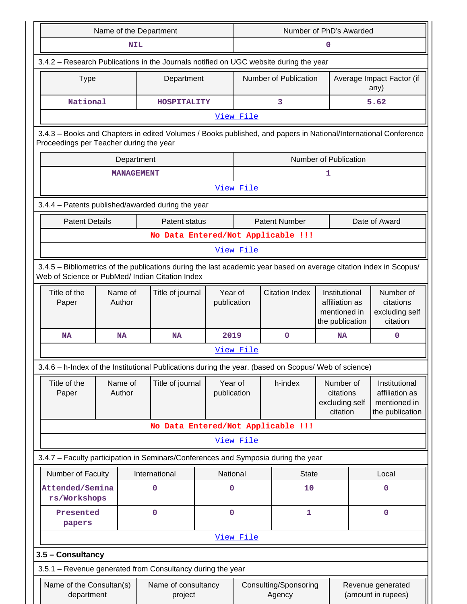|                                                                                                                                                                       | Name of the Department         |                        |                       |                                    |                                                                    | Number of PhD's Awarded |                                                                    |  |  |  |
|-----------------------------------------------------------------------------------------------------------------------------------------------------------------------|--------------------------------|------------------------|-----------------------|------------------------------------|--------------------------------------------------------------------|-------------------------|--------------------------------------------------------------------|--|--|--|
|                                                                                                                                                                       | <b>NIL</b>                     |                        | 0                     |                                    |                                                                    |                         |                                                                    |  |  |  |
| 3.4.2 - Research Publications in the Journals notified on UGC website during the year                                                                                 |                                |                        |                       |                                    |                                                                    |                         |                                                                    |  |  |  |
| <b>Type</b>                                                                                                                                                           | Department                     |                        | Number of Publication |                                    |                                                                    |                         | Average Impact Factor (if<br>any)                                  |  |  |  |
| National<br>5.62<br>3<br>HOSPITALITY                                                                                                                                  |                                |                        |                       |                                    |                                                                    |                         |                                                                    |  |  |  |
|                                                                                                                                                                       |                                |                        | View File             |                                    |                                                                    |                         |                                                                    |  |  |  |
| 3.4.3 - Books and Chapters in edited Volumes / Books published, and papers in National/International Conference<br>Proceedings per Teacher during the year            |                                |                        |                       |                                    |                                                                    |                         |                                                                    |  |  |  |
|                                                                                                                                                                       | Department                     |                        |                       |                                    | <b>Number of Publication</b>                                       |                         |                                                                    |  |  |  |
|                                                                                                                                                                       | <b>MANAGEMENT</b>              |                        |                       |                                    | 1                                                                  |                         |                                                                    |  |  |  |
|                                                                                                                                                                       |                                |                        | View File             |                                    |                                                                    |                         |                                                                    |  |  |  |
| 3.4.4 - Patents published/awarded during the year                                                                                                                     |                                |                        |                       |                                    |                                                                    |                         |                                                                    |  |  |  |
| <b>Patent Details</b>                                                                                                                                                 | Patent status                  |                        |                       | <b>Patent Number</b>               |                                                                    |                         | Date of Award                                                      |  |  |  |
|                                                                                                                                                                       |                                |                        |                       | No Data Entered/Not Applicable !!! |                                                                    |                         |                                                                    |  |  |  |
|                                                                                                                                                                       |                                |                        | View File             |                                    |                                                                    |                         |                                                                    |  |  |  |
| 3.4.5 - Bibliometrics of the publications during the last academic year based on average citation index in Scopus/<br>Web of Science or PubMed/ Indian Citation Index |                                |                        |                       |                                    |                                                                    |                         |                                                                    |  |  |  |
| Title of the<br>Name of<br>Author<br>Paper                                                                                                                            | Title of journal               | Year of<br>publication |                       | <b>Citation Index</b>              | Institutional<br>affiliation as<br>mentioned in<br>the publication |                         | Number of<br>citations<br>excluding self<br>citation               |  |  |  |
| <b>NA</b><br><b>NA</b>                                                                                                                                                | <b>NA</b>                      | 2019                   |                       | 0                                  | <b>NA</b>                                                          |                         | 0                                                                  |  |  |  |
|                                                                                                                                                                       |                                |                        | View File             |                                    |                                                                    |                         |                                                                    |  |  |  |
| 3.4.6 - h-Index of the Institutional Publications during the year. (based on Scopus/ Web of science)                                                                  |                                |                        |                       |                                    |                                                                    |                         |                                                                    |  |  |  |
| Title of the<br>Name of<br>Author<br>Paper                                                                                                                            | Title of journal               | Year of<br>publication |                       | h-index                            | Number of<br>citations<br>excluding self<br>citation               |                         | Institutional<br>affiliation as<br>mentioned in<br>the publication |  |  |  |
|                                                                                                                                                                       |                                |                        |                       | No Data Entered/Not Applicable !!! |                                                                    |                         |                                                                    |  |  |  |
|                                                                                                                                                                       |                                |                        | View File             |                                    |                                                                    |                         |                                                                    |  |  |  |
| 3.4.7 - Faculty participation in Seminars/Conferences and Symposia during the year                                                                                    |                                |                        |                       |                                    |                                                                    |                         |                                                                    |  |  |  |
| Number of Faculty                                                                                                                                                     | International                  | National               |                       | <b>State</b>                       |                                                                    |                         | Local                                                              |  |  |  |
| Attended/Semina<br>rs/Workshops                                                                                                                                       | 0                              | $\mathbf 0$            |                       | 10                                 |                                                                    |                         | $\mathbf 0$                                                        |  |  |  |
| Presented<br>papers                                                                                                                                                   | $\mathbf 0$                    | $\mathbf 0$            |                       | 1                                  |                                                                    |                         | 0                                                                  |  |  |  |
|                                                                                                                                                                       |                                |                        | View File             |                                    |                                                                    |                         |                                                                    |  |  |  |
| 3.5 - Consultancy                                                                                                                                                     |                                |                        |                       |                                    |                                                                    |                         |                                                                    |  |  |  |
| 3.5.1 - Revenue generated from Consultancy during the year                                                                                                            |                                |                        |                       |                                    |                                                                    |                         |                                                                    |  |  |  |
| Name of the Consultan(s)<br>department                                                                                                                                | Name of consultancy<br>project |                        |                       | Consulting/Sponsoring<br>Agency    |                                                                    |                         | Revenue generated<br>(amount in rupees)                            |  |  |  |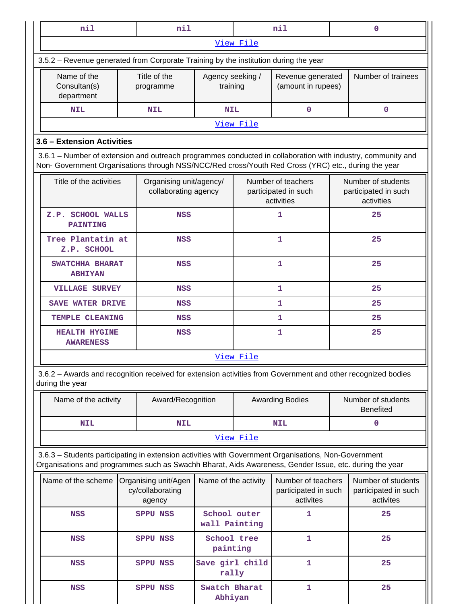| nil                                                                                                                                                                                                                |  | nil                                             | nil                          |           |                                            |  |                                            |  |
|--------------------------------------------------------------------------------------------------------------------------------------------------------------------------------------------------------------------|--|-------------------------------------------------|------------------------------|-----------|--------------------------------------------|--|--------------------------------------------|--|
| View File                                                                                                                                                                                                          |  |                                                 |                              |           |                                            |  |                                            |  |
| 3.5.2 – Revenue generated from Corporate Training by the institution during the year                                                                                                                               |  |                                                 |                              |           |                                            |  |                                            |  |
| Name of the<br>Consultan(s)<br>department                                                                                                                                                                          |  | Title of the<br>programme                       | Agency seeking /<br>training |           | Revenue generated<br>(amount in rupees)    |  | Number of trainees                         |  |
| <b>NIL</b>                                                                                                                                                                                                         |  | <b>NIL</b>                                      | <b>NIL</b>                   |           |                                            |  |                                            |  |
|                                                                                                                                                                                                                    |  |                                                 |                              | View File |                                            |  |                                            |  |
| 3.6 - Extension Activities                                                                                                                                                                                         |  |                                                 |                              |           |                                            |  |                                            |  |
| 3.6.1 - Number of extension and outreach programmes conducted in collaboration with industry, community and<br>Non- Government Organisations through NSS/NCC/Red cross/Youth Red Cross (YRC) etc., during the year |  |                                                 |                              |           |                                            |  |                                            |  |
| Title of the activities                                                                                                                                                                                            |  | Organising unit/agency/<br>collaborating agency |                              |           | Number of teachers<br>participated in such |  | Number of students<br>participated in such |  |

 $\mathbf{I}$ 

|                                          | collaborating agency | participated in such<br>activities | participated in such<br>activities |
|------------------------------------------|----------------------|------------------------------------|------------------------------------|
| Z.P. SCHOOL WALLS<br><b>PAINTING</b>     | <b>NSS</b>           | 1                                  | 25                                 |
| Tree Plantatin at<br>Z.P. SCHOOL         | <b>NSS</b>           | 1                                  | 25                                 |
| SWATCHHA BHARAT<br><b>ABHIYAN</b>        | <b>NSS</b>           | 1                                  | 25                                 |
| <b>VILLAGE SURVEY</b>                    | NSS                  | 1                                  | 25                                 |
| <b>SAVE WATER DRIVE</b>                  | NSS                  | 1                                  | 25                                 |
| TEMPLE CLEANING                          | NSS                  | 1                                  | 25                                 |
| <b>HEALTH HYGINE</b><br><b>AWARENESS</b> | <b>NSS</b>           | 1                                  | 25                                 |
|                                          |                      | View File                          |                                    |

3.6.2 – Awards and recognition received for extension activities from Government and other recognized bodies during the year

| Name of the activity | Award/Recognition | <b>Awarding Bodies</b> |  |  |  |  |  |
|----------------------|-------------------|------------------------|--|--|--|--|--|
| <b>NIL</b>           | <b>NIL</b>        | <b>NIL</b>             |  |  |  |  |  |
| View File            |                   |                        |  |  |  |  |  |

3.6.3 – Students participating in extension activities with Government Organisations, Non-Government Organisations and programmes such as Swachh Bharat, Aids Awareness, Gender Issue, etc. during the year

| Name of the scheme | Organising unit/Agen<br>cy/collaborating<br>agency | Name of the activity          | Number of teachers<br>participated in such<br>activites | Number of students<br>participated in such<br>activites |
|--------------------|----------------------------------------------------|-------------------------------|---------------------------------------------------------|---------------------------------------------------------|
| <b>NSS</b>         | <b>SPPU NSS</b>                                    | School outer<br>wall Painting |                                                         | 25                                                      |
| <b>NSS</b>         | <b>SPPU NSS</b>                                    | School tree<br>painting       |                                                         | 25                                                      |
| <b>NSS</b>         | <b>SPPU NSS</b>                                    | Save girl child<br>rally      |                                                         | 25                                                      |
| <b>NSS</b>         | <b>SPPU NSS</b>                                    | Swatch Bharat<br>Abhiyan      |                                                         | 25                                                      |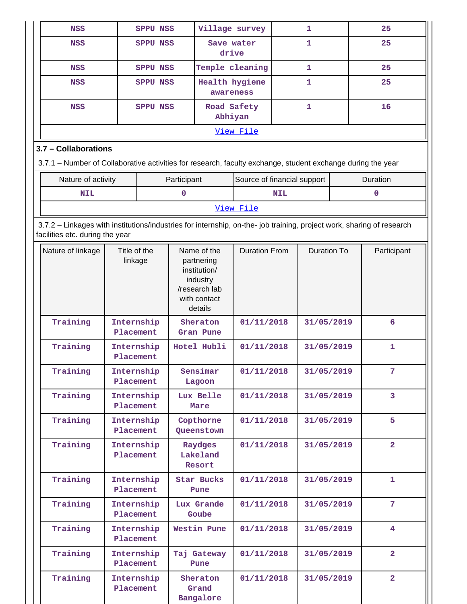| <b>NSS</b>                                                                                                                                               |                         | <b>SPPU NSS</b>         |                               |                                                                                                   | Village survey              |            | 1                  | 25             |
|----------------------------------------------------------------------------------------------------------------------------------------------------------|-------------------------|-------------------------|-------------------------------|---------------------------------------------------------------------------------------------------|-----------------------------|------------|--------------------|----------------|
| <b>NSS</b>                                                                                                                                               |                         | <b>SPPU NSS</b>         |                               |                                                                                                   | Save water<br>drive         |            | 1                  | 25             |
| <b>NSS</b>                                                                                                                                               |                         | <b>SPPU NSS</b>         |                               |                                                                                                   | Temple cleaning             | 1          |                    | 25             |
| <b>NSS</b>                                                                                                                                               |                         | <b>SPPU NSS</b>         |                               |                                                                                                   | Health hygiene<br>awareness |            | 1                  | 25             |
| <b>NSS</b>                                                                                                                                               |                         | <b>SPPU NSS</b>         |                               |                                                                                                   | Road Safety<br>Abhiyan      |            | 1                  | 16             |
|                                                                                                                                                          |                         |                         |                               |                                                                                                   | View File                   |            |                    |                |
| 3.7 - Collaborations                                                                                                                                     |                         |                         |                               |                                                                                                   |                             |            |                    |                |
| 3.7.1 – Number of Collaborative activities for research, faculty exchange, student exchange during the year                                              |                         |                         |                               |                                                                                                   |                             |            |                    |                |
| Nature of activity                                                                                                                                       |                         |                         | Participant                   |                                                                                                   | Source of financial support |            |                    | Duration       |
| <b>NIL</b>                                                                                                                                               |                         |                         | $\mathbf 0$                   |                                                                                                   |                             | <b>NIL</b> |                    | $\mathbf 0$    |
|                                                                                                                                                          |                         |                         |                               |                                                                                                   | View File                   |            |                    |                |
| 3.7.2 - Linkages with institutions/industries for internship, on-the- job training, project work, sharing of research<br>facilities etc. during the year |                         |                         |                               |                                                                                                   |                             |            |                    |                |
| Nature of linkage                                                                                                                                        | Title of the<br>linkage |                         |                               | Name of the<br>partnering<br>institution/<br>industry<br>/research lab<br>with contact<br>details | <b>Duration From</b>        |            | <b>Duration To</b> | Participant    |
| Training                                                                                                                                                 | Internship<br>Placement |                         |                               | Sheraton<br>Gran Pune                                                                             | 01/11/2018                  |            | 31/05/2019         | 6              |
| Training                                                                                                                                                 | Internship<br>Placement |                         |                               | Hotel Hubli                                                                                       | 01/11/2018                  |            | 31/05/2019         | 1              |
| Training                                                                                                                                                 |                         | Internship<br>Placement |                               | Sensimar<br>Lagoon                                                                                | 01/11/2018                  |            | 31/05/2019         | 7              |
| Training                                                                                                                                                 | Placement               | Internship              |                               | Lux Belle<br>Mare                                                                                 | 01/11/2018                  |            | 31/05/2019         | 3              |
| Training                                                                                                                                                 | Placement               | Internship              |                               | Copthorne<br>Queenstown                                                                           | 01/11/2018                  |            | 31/05/2019         | 5              |
| Training                                                                                                                                                 | Placement               | Internship              | Raydges<br>Lakeland<br>Resort |                                                                                                   | 01/11/2018                  |            | 31/05/2019         | 2 <sup>1</sup> |
| Training                                                                                                                                                 | Placement               | Internship              |                               | Star Bucks<br>Pune                                                                                | 01/11/2018                  |            | 31/05/2019         | 1              |
| Training                                                                                                                                                 | Placement               | Internship              |                               | Lux Grande<br>Goube                                                                               | 01/11/2018                  |            | 31/05/2019         | 7              |
| Training                                                                                                                                                 | Placement               | Internship              |                               | Westin Pune                                                                                       | 01/11/2018                  |            | 31/05/2019         | 4              |
| Training                                                                                                                                                 | Placement               | Internship              |                               | Taj Gateway<br>Pune                                                                               | 01/11/2018                  |            | 31/05/2019         | $\overline{a}$ |
| Training                                                                                                                                                 | Internship<br>Placement |                         |                               | Sheraton<br>Grand<br>Bangalore                                                                    | 01/11/2018                  |            | 31/05/2019         | $\overline{2}$ |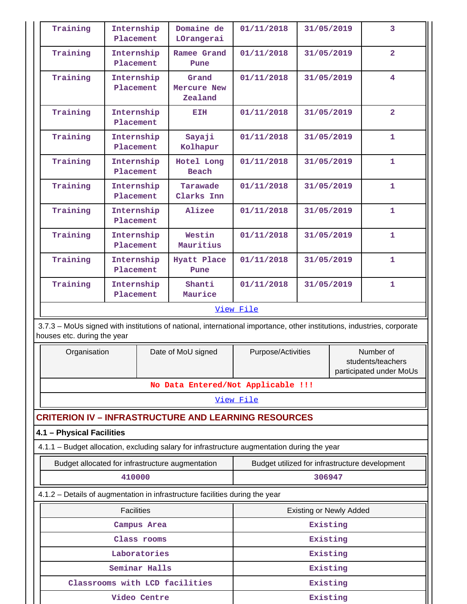| Training                    |                         | Internship<br>Placement | Domaine de<br>LOrangerai                                                                                               | 01/11/2018                                     | 31/05/2019                     |  | $\overline{3}$                               |
|-----------------------------|-------------------------|-------------------------|------------------------------------------------------------------------------------------------------------------------|------------------------------------------------|--------------------------------|--|----------------------------------------------|
| Training                    | Internship<br>Placement |                         | Ramee Grand<br>Pune                                                                                                    | 01/11/2018                                     | 31/05/2019                     |  | $\overline{2}$                               |
| Training                    |                         | Internship<br>Placement | Grand<br>Mercure New<br>Zealand                                                                                        | 01/11/2018                                     | 31/05/2019                     |  | 4                                            |
| Training                    |                         | Internship<br>Placement | EIH                                                                                                                    | 01/11/2018                                     | 31/05/2019                     |  | $\overline{2}$                               |
| Training                    |                         | Internship<br>Placement | Sayaji<br>Kolhapur                                                                                                     | 01/11/2018                                     | 31/05/2019                     |  | $\mathbf{1}$                                 |
| Training                    |                         | Internship<br>Placement | Hotel Long<br><b>Beach</b>                                                                                             | 01/11/2018                                     | 31/05/2019                     |  | 1                                            |
| Training                    |                         | Internship<br>Placement | Tarawade<br>Clarks Inn                                                                                                 | 01/11/2018                                     | 31/05/2019                     |  | 1                                            |
| Training                    |                         | Internship<br>Placement | Alizee                                                                                                                 | 01/11/2018                                     | 31/05/2019                     |  | $\mathbf{1}$                                 |
| Training                    |                         | Internship<br>Placement | Westin<br>Mauritius                                                                                                    | 01/11/2018                                     | 31/05/2019                     |  | 1                                            |
| Training                    |                         | Internship<br>Placement | Hyatt Place<br>Pune                                                                                                    | 01/11/2018                                     | 31/05/2019                     |  | $\mathbf{1}$                                 |
| Training                    |                         | Internship<br>Placement | Shanti<br>Maurice                                                                                                      | 01/11/2018                                     | 31/05/2019                     |  | $\mathbf{1}$                                 |
|                             |                         |                         |                                                                                                                        | View File                                      |                                |  |                                              |
| houses etc. during the year |                         |                         | 3.7.3 - MoUs signed with institutions of national, international importance, other institutions, industries, corporate |                                                |                                |  | Number of                                    |
| Organisation                |                         |                         | Date of MoU signed                                                                                                     | Purpose/Activities                             |                                |  | students/teachers<br>participated under MoUs |
|                             |                         |                         | No Data Entered/Not Applicable !!!                                                                                     |                                                |                                |  |                                              |
|                             |                         |                         |                                                                                                                        | View File                                      |                                |  |                                              |
|                             |                         |                         | <b>CRITERION IV - INFRASTRUCTURE AND LEARNING RESOURCES</b>                                                            |                                                |                                |  |                                              |
| 4.1 - Physical Facilities   |                         |                         | 4.1.1 - Budget allocation, excluding salary for infrastructure augmentation during the year                            |                                                |                                |  |                                              |
|                             |                         |                         | Budget allocated for infrastructure augmentation                                                                       | Budget utilized for infrastructure development |                                |  |                                              |
|                             |                         | 410000                  |                                                                                                                        | 306947                                         |                                |  |                                              |
|                             |                         |                         | 4.1.2 - Details of augmentation in infrastructure facilities during the year                                           |                                                |                                |  |                                              |
|                             |                         | <b>Facilities</b>       |                                                                                                                        |                                                | <b>Existing or Newly Added</b> |  |                                              |
|                             |                         | Campus Area             |                                                                                                                        | Existing                                       |                                |  |                                              |
|                             |                         | Class rooms             |                                                                                                                        |                                                | Existing                       |  |                                              |
|                             |                         | Laboratories            |                                                                                                                        |                                                | Existing                       |  |                                              |
|                             |                         | Seminar Halls           |                                                                                                                        |                                                | Existing                       |  |                                              |
|                             |                         |                         | Classrooms with LCD facilities                                                                                         |                                                | Existing                       |  |                                              |
|                             |                         | Video Centre            |                                                                                                                        |                                                | Existing                       |  |                                              |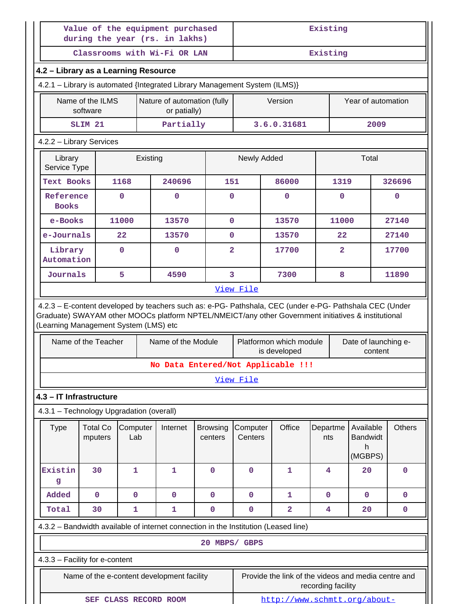| Value of the equipment purchased<br>during the year (rs. in lakhs)                                                                             |                              |                 |                                                                            | Existing                   |                     |                                                                                                                                                                                                                |                    |                                 |               |
|------------------------------------------------------------------------------------------------------------------------------------------------|------------------------------|-----------------|----------------------------------------------------------------------------|----------------------------|---------------------|----------------------------------------------------------------------------------------------------------------------------------------------------------------------------------------------------------------|--------------------|---------------------------------|---------------|
|                                                                                                                                                |                              |                 | Classrooms with Wi-Fi OR LAN                                               |                            | Existing            |                                                                                                                                                                                                                |                    |                                 |               |
| 4.2 - Library as a Learning Resource                                                                                                           |                              |                 |                                                                            |                            |                     |                                                                                                                                                                                                                |                    |                                 |               |
|                                                                                                                                                |                              |                 | 4.2.1 - Library is automated {Integrated Library Management System (ILMS)} |                            |                     |                                                                                                                                                                                                                |                    |                                 |               |
|                                                                                                                                                | Name of the ILMS<br>software |                 | Nature of automation (fully<br>or patially)                                |                            |                     | Version                                                                                                                                                                                                        |                    | Year of automation              |               |
|                                                                                                                                                | SLIM <sub>21</sub>           |                 | Partially                                                                  |                            |                     | 3.6.0.31681                                                                                                                                                                                                    |                    | 2009                            |               |
| 4.2.2 - Library Services                                                                                                                       |                              |                 |                                                                            |                            |                     |                                                                                                                                                                                                                |                    |                                 |               |
| Library<br>Service Type                                                                                                                        |                              | Existing        |                                                                            |                            | Newly Added         |                                                                                                                                                                                                                |                    | Total                           |               |
| <b>Text Books</b>                                                                                                                              |                              | 1168            | 240696                                                                     | 151                        |                     | 86000                                                                                                                                                                                                          | 1319               |                                 | 326696        |
| Reference<br><b>Books</b>                                                                                                                      |                              | $\mathbf 0$     | $\mathbf 0$                                                                | 0                          |                     | $\mathbf{0}$                                                                                                                                                                                                   | $\mathbf{0}$       |                                 | $\mathbf{0}$  |
| e-Books                                                                                                                                        |                              | 11000           | 13570                                                                      | 0                          |                     | 13570                                                                                                                                                                                                          | 11000              |                                 | 27140         |
| e-Journals                                                                                                                                     |                              | 22              | 13570                                                                      | 0                          |                     | 13570                                                                                                                                                                                                          | 22                 |                                 | 27140         |
| Library<br>Automation                                                                                                                          |                              | $\mathbf 0$     | $\mathbf 0$                                                                | $\overline{a}$             |                     | 17700                                                                                                                                                                                                          | $\overline{a}$     |                                 | 17700         |
| Journals                                                                                                                                       |                              | 5               | 4590                                                                       | 3                          |                     | 7300                                                                                                                                                                                                           | 8                  |                                 | 11890         |
|                                                                                                                                                |                              |                 |                                                                            |                            |                     | 4.2.3 - E-content developed by teachers such as: e-PG- Pathshala, CEC (under e-PG- Pathshala CEC (Under<br>Graduate) SWAYAM other MOOCs platform NPTEL/NMEICT/any other Government initiatives & institutional |                    |                                 |               |
|                                                                                                                                                | Name of the Teacher          |                 | Name of the Module                                                         |                            |                     | Platformon which module<br>is developed                                                                                                                                                                        |                    | Date of launching e-<br>content |               |
|                                                                                                                                                |                              |                 |                                                                            |                            |                     | No Data Entered/Not Applicable !!!                                                                                                                                                                             |                    |                                 |               |
|                                                                                                                                                |                              |                 |                                                                            |                            | View File           |                                                                                                                                                                                                                |                    |                                 |               |
|                                                                                                                                                |                              |                 |                                                                            |                            |                     |                                                                                                                                                                                                                |                    |                                 |               |
| <b>Type</b>                                                                                                                                    | <b>Total Co</b><br>mputers   | Computer<br>Lab | Internet                                                                   | <b>Browsing</b><br>centers | Computer<br>Centers | Office                                                                                                                                                                                                         | Departme<br>nts    | Available<br><b>Bandwidt</b>    | <b>Others</b> |
|                                                                                                                                                |                              |                 |                                                                            |                            |                     |                                                                                                                                                                                                                |                    | h                               |               |
| Existin<br>g                                                                                                                                   | 30                           | $\mathbf{1}$    | 1                                                                          | $\mathbf 0$                | $\mathbf 0$         | $\mathbf{1}$                                                                                                                                                                                                   | 4                  | (MGBPS)<br>20                   | $\mathbf 0$   |
| Added                                                                                                                                          | $\mathbf 0$                  | $\mathbf 0$     | $\mathbf 0$                                                                | $\mathbf 0$                | $\mathbf 0$         | $\mathbf{1}$                                                                                                                                                                                                   | $\mathbf 0$        | $\mathbf 0$                     | $\mathbf 0$   |
| Total                                                                                                                                          | 30                           | 1               | 1                                                                          | 0                          | 0                   | $\overline{2}$                                                                                                                                                                                                 | 4                  | 20                              | 0             |
|                                                                                                                                                |                              |                 |                                                                            |                            |                     | 4.3.2 - Bandwidth available of internet connection in the Institution (Leased line)                                                                                                                            |                    |                                 |               |
|                                                                                                                                                |                              |                 |                                                                            | 20 MBPS/ GBPS              |                     |                                                                                                                                                                                                                |                    |                                 |               |
|                                                                                                                                                |                              |                 |                                                                            |                            |                     |                                                                                                                                                                                                                |                    |                                 |               |
| (Learning Management System (LMS) etc<br>4.3 - IT Infrastructure<br>4.3.1 - Technology Upgradation (overall)<br>4.3.3 - Facility for e-content |                              |                 | Name of the e-content development facility                                 |                            |                     | Provide the link of the videos and media centre and                                                                                                                                                            | recording facility |                                 |               |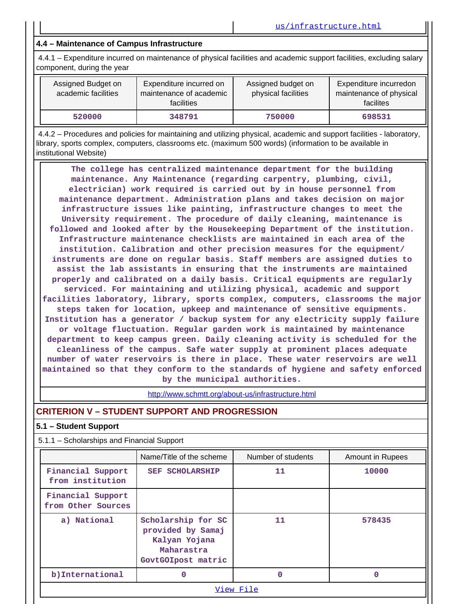# **4.4 – Maintenance of Campus Infrastructure**

4.4.1 – Expenditure incurred on maintenance of physical facilities and academic support facilities, excluding salary component, during the year

| Assigned Budget on<br>academic facilities | Expenditure incurred on<br>maintenance of academic<br>facilities | Assigned budget on<br>physical facilities | Expenditure incurredon<br>maintenance of physical<br>facilites |
|-------------------------------------------|------------------------------------------------------------------|-------------------------------------------|----------------------------------------------------------------|
| 520000                                    | 348791                                                           | 750000                                    | 698531                                                         |

4.4.2 – Procedures and policies for maintaining and utilizing physical, academic and support facilities - laboratory, library, sports complex, computers, classrooms etc. (maximum 500 words) (information to be available in institutional Website)

**The college has centralized maintenance department for the building maintenance. Any Maintenance (regarding carpentry, plumbing, civil, electrician) work required is carried out by in house personnel from maintenance department. Administration plans and takes decision on major infrastructure issues like painting, infrastructure changes to meet the University requirement. The procedure of daily cleaning, maintenance is followed and looked after by the Housekeeping Department of the institution. Infrastructure maintenance checklists are maintained in each area of the institution. Calibration and other precision measures for the equipment/ instruments are done on regular basis. Staff members are assigned duties to assist the lab assistants in ensuring that the instruments are maintained properly and calibrated on a daily basis. Critical equipments are regularly serviced. For maintaining and utilizing physical, academic and support facilities laboratory, library, sports complex, computers, classrooms the major steps taken for location, upkeep and maintenance of sensitive equipments. Institution has a generator / backup system for any electricity supply failure or voltage fluctuation. Regular garden work is maintained by maintenance department to keep campus green. Daily cleaning activity is scheduled for the cleanliness of the campus. Safe water supply at prominent places adequate number of water reservoirs is there in place. These water reservoirs are well maintained so that they conform to the standards of hygiene and safety enforced by the municipal authorities.**

http://www.schmtt.org/about-us/infrastructure.html

# **CRITERION V –STUDENT SUPPORT AND PROGRESSION**

#### **5.1 – Student Support**

5.1.1 – Scholarships and Financial Support

|                                         | Name/Title of the scheme                                                                     | Number of students | Amount in Rupees |
|-----------------------------------------|----------------------------------------------------------------------------------------------|--------------------|------------------|
| Financial Support<br>from institution   | <b>SEF SCHOLARSHIP</b>                                                                       | 11                 | 10000            |
| Financial Support<br>from Other Sources |                                                                                              |                    |                  |
| a) National                             | Scholarship for SC<br>provided by Samaj<br>Kalyan Yojana<br>Maharastra<br>GovtGOIpost matric | 11                 | 578435           |
| b) International                        | $\Omega$                                                                                     | O                  | O                |
|                                         |                                                                                              | View File          |                  |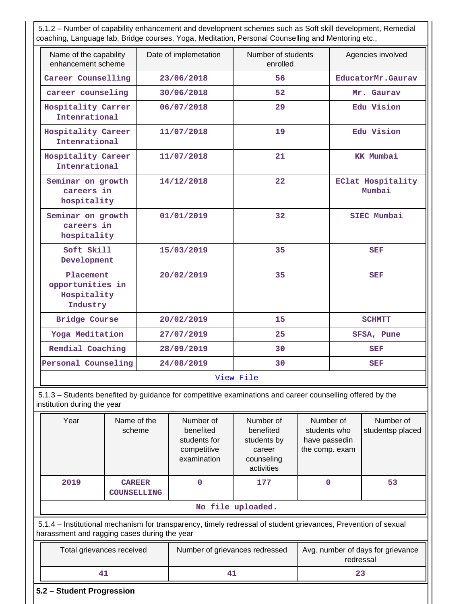5.1.2 – Number of capability enhancement and development schemes such as Soft skill development, Remedial coaching, Language lab, Bridge courses, Yoga, Meditation, Personal Counselling and Mentoring etc.,

| Name of the capability<br>enhancement scheme             | Date of implemetation | Number of students<br>enrolled | Agencies involved                  |
|----------------------------------------------------------|-----------------------|--------------------------------|------------------------------------|
| Career Counselling                                       | 23/06/2018            | 56                             | EducatorMr.Gaurav                  |
| career counseling                                        | 30/06/2018            | 52                             | Mr. Gaurav                         |
| Hospitality Carrer<br>Intenrational                      | 06/07/2018            | 29                             | Edu Vision                         |
| Hospitality Career<br>Intenrational                      | 11/07/2018            | 19                             | Edu Vision                         |
| Hospitality Career<br>Intenrational                      | 11/07/2018            | 21                             | <b>KK Mumbai</b>                   |
| Seminar on growth<br>careers in<br>hospitality           | 14/12/2018            | 22                             | <b>EClat Hospitality</b><br>Mumbai |
| Seminar on growth<br>careers in<br>hospitality           | 01/01/2019            | 32                             | SIEC Mumbai                        |
| Soft Skill<br>Development                                | 15/03/2019            | 35                             | <b>SEF</b>                         |
| Placement<br>opportunities in<br>Hospitality<br>Industry | 20/02/2019            | 35                             | <b>SEF</b>                         |
| Bridge Course                                            | 20/02/2019            | 15                             | <b>SCHMTT</b>                      |
| Yoga Meditation                                          | 27/07/2019            | 25                             | SFSA, Pune                         |
| Remdial Coaching                                         | 28/09/2019            | 30                             | <b>SEF</b>                         |
| Personal Counseling                                      | 24/08/2019            | 30                             | <b>SEF</b>                         |

5.1.3 – Students benefited by guidance for competitive examinations and career counselling offered by the institution during the year

|                                                                                                                                                                | Year                      | Name of the<br>scheme               | Number of<br>benefited<br>students for<br>competitive<br>examination | Number of<br>benefited<br>students by<br>career<br>counseling<br>activities | Number of<br>students who<br>have passedin<br>the comp. exam | Number of<br>studentsp placed |
|----------------------------------------------------------------------------------------------------------------------------------------------------------------|---------------------------|-------------------------------------|----------------------------------------------------------------------|-----------------------------------------------------------------------------|--------------------------------------------------------------|-------------------------------|
|                                                                                                                                                                | 2019                      | <b>CAREER</b><br><b>COUNSELLING</b> | O                                                                    | 177                                                                         | 0                                                            | 53                            |
|                                                                                                                                                                |                           |                                     |                                                                      | No file uploaded.                                                           |                                                              |                               |
| 5.1.4 – Institutional mechanism for transparency, timely redressal of student grievances, Prevention of sexual<br>harassment and ragging cases during the year |                           |                                     |                                                                      |                                                                             |                                                              |                               |
|                                                                                                                                                                | Total grievances received |                                     | Number of grievances redressed                                       |                                                                             | Avg. number of days for grievance<br>redressal               |                               |
|                                                                                                                                                                | 41                        |                                     | 41                                                                   |                                                                             | 23                                                           |                               |

**5.2 – Student Progression**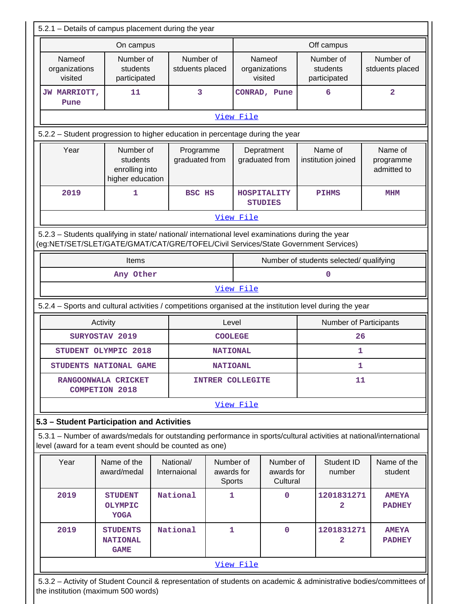|                                           | On campus                                                                                        |                              |                                   |                                     | Off campus                                                                                                          |                                     |  |
|-------------------------------------------|--------------------------------------------------------------------------------------------------|------------------------------|-----------------------------------|-------------------------------------|---------------------------------------------------------------------------------------------------------------------|-------------------------------------|--|
|                                           |                                                                                                  |                              |                                   |                                     |                                                                                                                     |                                     |  |
| <b>Nameof</b><br>organizations<br>visited | Number of<br>students<br>participated                                                            | Number of<br>stduents placed |                                   | Nameof<br>organizations<br>visited  | Number of<br>students<br>participated                                                                               | Number of<br>stduents placed        |  |
| JW MARRIOTT,<br>Pune                      | 11                                                                                               | 3                            |                                   | CONRAD, Pune                        | 6                                                                                                                   | $\overline{\mathbf{2}}$             |  |
|                                           |                                                                                                  |                              | View File                         |                                     |                                                                                                                     |                                     |  |
|                                           | 5.2.2 - Student progression to higher education in percentage during the year                    |                              |                                   |                                     |                                                                                                                     |                                     |  |
| Year                                      | Number of<br>students<br>enrolling into<br>higher education                                      | Programme<br>graduated from  |                                   | Depratment<br>graduated from        | Name of<br>institution joined                                                                                       | Name of<br>programme<br>admitted to |  |
| 2019                                      | 1                                                                                                | <b>BSC HS</b>                |                                   | HOSPITALITY<br><b>STUDIES</b>       | <b>PIHMS</b>                                                                                                        | <b>MHM</b>                          |  |
|                                           |                                                                                                  |                              | View File                         |                                     |                                                                                                                     |                                     |  |
|                                           | 5.2.3 - Students qualifying in state/ national/ international level examinations during the year |                              |                                   |                                     | (eg:NET/SET/SLET/GATE/GMAT/CAT/GRE/TOFEL/Civil Services/State Government Services)                                  |                                     |  |
|                                           | Items                                                                                            |                              |                                   |                                     | Number of students selected/ qualifying                                                                             |                                     |  |
|                                           | Any Other                                                                                        |                              |                                   | 0                                   |                                                                                                                     |                                     |  |
|                                           |                                                                                                  |                              | View File                         |                                     |                                                                                                                     |                                     |  |
|                                           |                                                                                                  |                              |                                   |                                     | 5.2.4 - Sports and cultural activities / competitions organised at the institution level during the year            |                                     |  |
|                                           | Activity                                                                                         |                              | Level                             |                                     |                                                                                                                     | Number of Participants              |  |
|                                           | SURYOSTAV 2019                                                                                   |                              | <b>COOLEGE</b>                    | 26                                  |                                                                                                                     |                                     |  |
|                                           | STUDENT OLYMPIC 2018                                                                             |                              | <b>NATIONAL</b>                   | 1                                   |                                                                                                                     |                                     |  |
|                                           | <b>STUDENTS NATIONAL GAME</b>                                                                    |                              | <b>NATIOANL</b>                   | ı                                   |                                                                                                                     |                                     |  |
|                                           | RANGOONWALA CRICKET<br><b>COMPETION 2018</b>                                                     |                              | INTRER COLLEGITE                  |                                     |                                                                                                                     | 11                                  |  |
|                                           |                                                                                                  |                              | View File                         |                                     |                                                                                                                     |                                     |  |
|                                           | 5.3 - Student Participation and Activities                                                       |                              |                                   |                                     |                                                                                                                     |                                     |  |
|                                           | level (award for a team event should be counted as one)                                          |                              |                                   |                                     | 5.3.1 - Number of awards/medals for outstanding performance in sports/cultural activities at national/international |                                     |  |
| Year                                      | Name of the<br>award/medal                                                                       | National/<br>Internaional    | Number of<br>awards for<br>Sports | Number of<br>awards for<br>Cultural | Student ID<br>number                                                                                                | Name of the<br>student              |  |
|                                           |                                                                                                  | National                     | 1                                 | $\mathbf 0$                         | 1201831271<br>2                                                                                                     | <b>AMEYA</b><br><b>PADHEY</b>       |  |
| 2019                                      | <b>STUDENT</b><br><b>OLYMPIC</b><br><b>YOGA</b>                                                  |                              | 1                                 |                                     |                                                                                                                     |                                     |  |
| 2019                                      | <b>STUDENTS</b><br><b>NATIONAL</b><br><b>GAME</b>                                                | National                     |                                   | $\mathbf 0$                         | 1201831271<br>2                                                                                                     | <b>AMEYA</b><br><b>PADHEY</b>       |  |

5.3.2 – Activity of Student Council & representation of students on academic & administrative bodies/committees of the institution (maximum 500 words)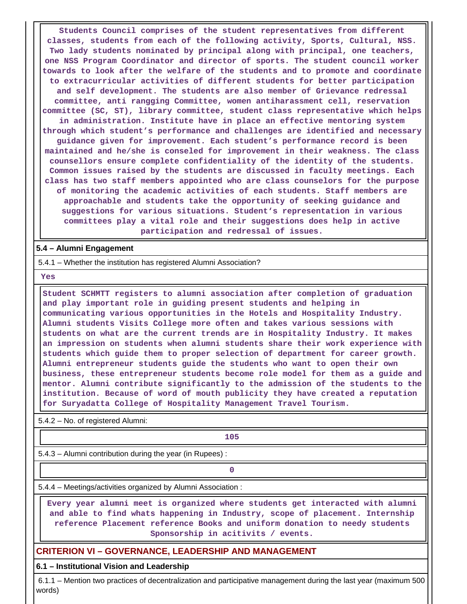**Students Council comprises of the student representatives from different classes, students from each of the following activity, Sports, Cultural, NSS. Two lady students nominated by principal along with principal, one teachers, one NSS Program Coordinator and director of sports. The student council worker towards to look after the welfare of the students and to promote and coordinate to extracurricular activities of different students for better participation and self development. The students are also member of Grievance redressal committee, anti rangging Committee, women antiharassment cell, reservation committee (SC, ST), library committee, student class representative which helps in administration. Institute have in place an effective mentoring system through which student's performance and challenges are identified and necessary guidance given for improvement. Each student's performance record is been maintained and he/she is conseled for improvement in their weakness. The class counsellors ensure complete confidentiality of the identity of the students. Common issues raised by the students are discussed in faculty meetings. Each class has two staff members appointed who are class counselors for the purpose of monitoring the academic activities of each students. Staff members are approachable and students take the opportunity of seeking guidance and suggestions for various situations. Student's representation in various committees play a vital role and their suggestions does help in active participation and redressal of issues.**

#### **5.4 – Alumni Engagement**

5.4.1 – Whether the institution has registered Alumni Association?

**Yes**

**Student SCHMTT registers to alumni association after completion of graduation and play important role in guiding present students and helping in communicating various opportunities in the Hotels and Hospitality Industry. Alumni students Visits College more often and takes various sessions with students on what are the current trends are in Hospitality Industry. It makes an impression on students when alumni students share their work experience with students which guide them to proper selection of department for career growth. Alumni entrepreneur students guide the students who want to open their own business, these entrepreneur students become role model for them as a guide and mentor. Alumni contribute significantly to the admission of the students to the institution. Because of word of mouth publicity they have created a reputation for Suryadatta College of Hospitality Management Travel Tourism.**

5.4.2 – No. of registered Alumni:

**105**

5.4.3 – Alumni contribution during the year (in Rupees) :

**0**

5.4.4 – Meetings/activities organized by Alumni Association :

**Every year alumni meet is organized where students get interacted with alumni and able to find whats happening in Industry, scope of placement. Internship reference Placement reference Books and uniform donation to needy students Sponsorship in acitivits / events.**

### **CRITERION VI – GOVERNANCE, LEADERSHIP AND MANAGEMENT**

#### **6.1 – Institutional Vision and Leadership**

6.1.1 – Mention two practices of decentralization and participative management during the last year (maximum 500 words)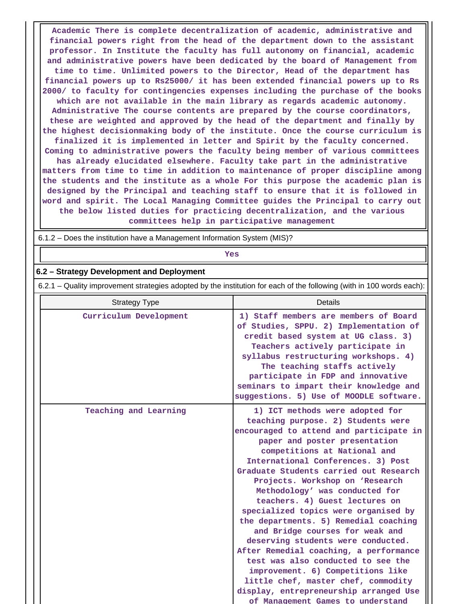**Academic There is complete decentralization of academic, administrative and financial powers right from the head of the department down to the assistant professor. In Institute the faculty has full autonomy on financial, academic and administrative powers have been dedicated by the board of Management from time to time. Unlimited powers to the Director, Head of the department has financial powers up to Rs25000/ it has been extended financial powers up to Rs 2000/ to faculty for contingencies expenses including the purchase of the books which are not available in the main library as regards academic autonomy. Administrative The course contents are prepared by the course coordinators, these are weighted and approved by the head of the department and finally by the highest decisionmaking body of the institute. Once the course curriculum is finalized it is implemented in letter and Spirit by the faculty concerned. Coming to administrative powers the faculty being member of various committees has already elucidated elsewhere. Faculty take part in the administrative matters from time to time in addition to maintenance of proper discipline among the students and the institute as a whole For this purpose the academic plan is designed by the Principal and teaching staff to ensure that it is followed in word and spirit. The Local Managing Committee guides the Principal to carry out the below listed duties for practicing decentralization, and the various committees help in participative management**

6.1.2 – Does the institution have a Management Information System (MIS)?

**Yes**

#### **6.2 – Strategy Development and Deployment**

6.2.1 – Quality improvement strategies adopted by the institution for each of the following (with in 100 words each):

| <b>Strategy Type</b>   | Details                                                                                                                                                                                                                                                                                                                                                                                                                                                                                                                                                                                                                                                                                                                                                                       |
|------------------------|-------------------------------------------------------------------------------------------------------------------------------------------------------------------------------------------------------------------------------------------------------------------------------------------------------------------------------------------------------------------------------------------------------------------------------------------------------------------------------------------------------------------------------------------------------------------------------------------------------------------------------------------------------------------------------------------------------------------------------------------------------------------------------|
| Curriculum Development | 1) Staff members are members of Board<br>of Studies, SPPU. 2) Implementation of<br>credit based system at UG class. 3)<br>Teachers actively participate in<br>syllabus restructuring workshops. 4)<br>The teaching staffs actively<br>participate in FDP and innovative<br>seminars to impart their knowledge and<br>suggestions. 5) Use of MOODLE software.                                                                                                                                                                                                                                                                                                                                                                                                                  |
| Teaching and Learning  | 1) ICT methods were adopted for<br>teaching purpose. 2) Students were<br>encouraged to attend and participate in<br>paper and poster presentation<br>competitions at National and<br>International Conferences. 3) Post<br>Graduate Students carried out Research<br>Projects. Workshop on 'Research<br>Methodology' was conducted for<br>teachers. 4) Guest lectures on<br>specialized topics were organised by<br>the departments. 5) Remedial coaching<br>and Bridge courses for weak and<br>deserving students were conducted.<br>After Remedial coaching, a performance<br>test was also conducted to see the<br>improvement. 6) Competitions like<br>little chef, master chef, commodity<br>display, entrepreneurship arranged Use<br>of Management Games to understand |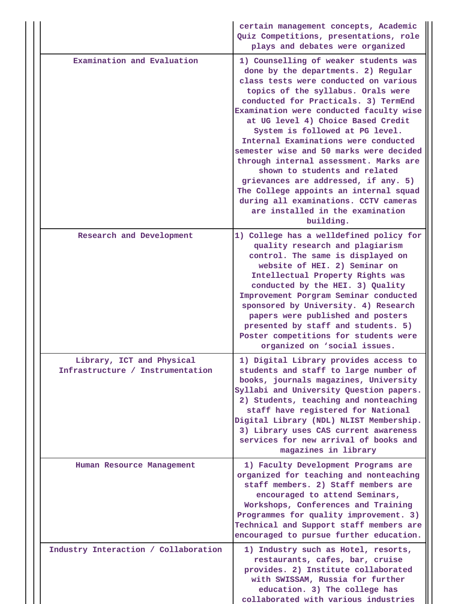|                                                               | certain management concepts, Academic<br>Quiz Competitions, presentations, role<br>plays and debates were organized                                                                                                                                                                                                                                                                                                                                                                                                                                                                                                                                               |
|---------------------------------------------------------------|-------------------------------------------------------------------------------------------------------------------------------------------------------------------------------------------------------------------------------------------------------------------------------------------------------------------------------------------------------------------------------------------------------------------------------------------------------------------------------------------------------------------------------------------------------------------------------------------------------------------------------------------------------------------|
| Examination and Evaluation                                    | 1) Counselling of weaker students was<br>done by the departments. 2) Regular<br>class tests were conducted on various<br>topics of the syllabus. Orals were<br>conducted for Practicals. 3) TermEnd<br>Examination were conducted faculty wise<br>at UG level 4) Choice Based Credit<br>System is followed at PG level.<br>Internal Examinations were conducted<br>semester wise and 50 marks were decided<br>through internal assessment. Marks are<br>shown to students and related<br>grievances are addressed, if any. 5)<br>The College appoints an internal squad<br>during all examinations. CCTV cameras<br>are installed in the examination<br>building. |
| Research and Development                                      | 1) College has a welldefined policy for<br>quality research and plagiarism<br>control. The same is displayed on<br>website of HEI. 2) Seminar on<br>Intellectual Property Rights was<br>conducted by the HEI. 3) Quality<br>Improvement Porgram Seminar conducted<br>sponsored by University. 4) Research<br>papers were published and posters<br>presented by staff and students. 5)<br>Poster competitions for students were<br>organized on 'social issues.                                                                                                                                                                                                    |
| Library, ICT and Physical<br>Infrastructure / Instrumentation | 1) Digital Library provides access to<br>students and staff to large number of<br>books, journals magazines, University<br>Syllabi and University Question papers.<br>2) Students, teaching and nonteaching<br>staff have registered for National<br>Digital Library (NDL) NLIST Membership.<br>3) Library uses CAS current awareness<br>services for new arrival of books and<br>magazines in library                                                                                                                                                                                                                                                            |
| Human Resource Management                                     | 1) Faculty Development Programs are<br>organized for teaching and nonteaching<br>staff members. 2) Staff members are<br>encouraged to attend Seminars,<br>Workshops, Conferences and Training<br>Programmes for quality improvement. 3)<br>Technical and Support staff members are<br>encouraged to pursue further education.                                                                                                                                                                                                                                                                                                                                     |
| Industry Interaction / Collaboration                          | 1) Industry such as Hotel, resorts,<br>restaurants, cafes, bar, cruise<br>provides. 2) Institute collaborated<br>with SWISSAM, Russia for further<br>education. 3) The college has<br>collaborated with various industries                                                                                                                                                                                                                                                                                                                                                                                                                                        |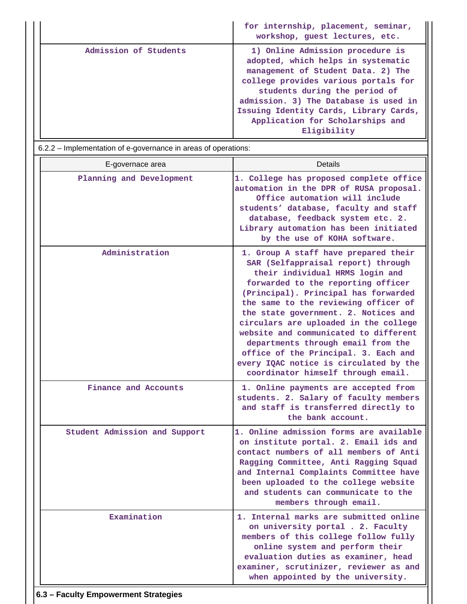|                       | for internship, placement, seminar,<br>workshop, guest lectures, etc.                                                                                                                                                                                                                                                       |
|-----------------------|-----------------------------------------------------------------------------------------------------------------------------------------------------------------------------------------------------------------------------------------------------------------------------------------------------------------------------|
| Admission of Students | 1) Online Admission procedure is<br>adopted, which helps in systematic<br>management of Student Data. 2) The<br>college provides various portals for<br>students during the period of<br>admission. 3) The Database is used in<br>Issuing Identity Cards, Library Cards,<br>Application for Scholarships and<br>Eligibility |

6.2.2 – Implementation of e-governance in areas of operations:

| E-governace area              | Details                                                                                                                                                                                                                                                                                                                                                                                                                                                                                                                     |  |  |  |  |  |
|-------------------------------|-----------------------------------------------------------------------------------------------------------------------------------------------------------------------------------------------------------------------------------------------------------------------------------------------------------------------------------------------------------------------------------------------------------------------------------------------------------------------------------------------------------------------------|--|--|--|--|--|
| Planning and Development      | 1. College has proposed complete office<br>automation in the DPR of RUSA proposal.<br>Office automation will include<br>students' database, faculty and staff<br>database, feedback system etc. 2.<br>Library automation has been initiated<br>by the use of KOHA software.                                                                                                                                                                                                                                                 |  |  |  |  |  |
| Administration                | 1. Group A staff have prepared their<br>SAR (Selfappraisal report) through<br>their individual HRMS login and<br>forwarded to the reporting officer<br>(Principal). Principal has forwarded<br>the same to the reviewing officer of<br>the state government. 2. Notices and<br>circulars are uploaded in the college<br>website and communicated to different<br>departments through email from the<br>office of the Principal. 3. Each and<br>every IQAC notice is circulated by the<br>coordinator himself through email. |  |  |  |  |  |
| Finance and Accounts          | 1. Online payments are accepted from<br>students. 2. Salary of faculty members<br>and staff is transferred directly to<br>the bank account.                                                                                                                                                                                                                                                                                                                                                                                 |  |  |  |  |  |
| Student Admission and Support | 1. Online admission forms are available<br>on institute portal. 2. Email ids and<br>contact numbers of all members of Anti<br>Ragging Committee, Anti Ragging Squad<br>and Internal Complaints Committee have<br>been uploaded to the college website<br>and students can communicate to the<br>members through email.                                                                                                                                                                                                      |  |  |  |  |  |
| Examination                   | 1. Internal marks are submitted online<br>on university portal . 2. Faculty<br>members of this college follow fully<br>online system and perform their<br>evaluation duties as examiner, head<br>examiner, scrutinizer, reviewer as and<br>when appointed by the university.                                                                                                                                                                                                                                                |  |  |  |  |  |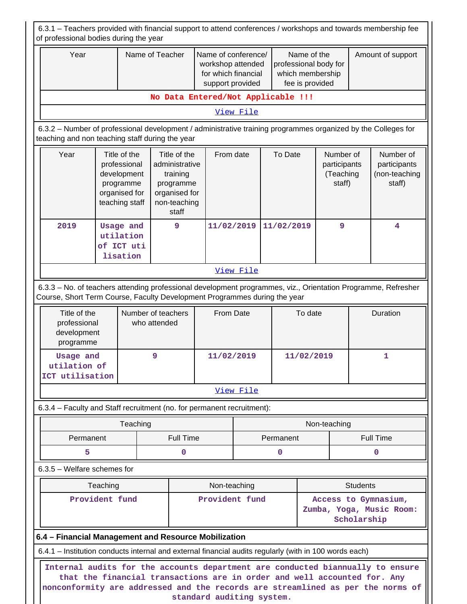6.3.1 – Teachers provided with financial support to attend conferences / workshops and towards membership fee of professional bodies during the year Year **Name of Teacher** Name of conference/ workshop attended for which financial support provided Name of the professional body for which membership fee is provided Amount of support **No Data Entered/Not Applicable !!!** View File 6.3.2 – Number of professional development / administrative training programmes organized by the Colleges for teaching and non teaching staff during the year Year | Title of the professional development programme organised for teaching staff Title of the From date administrative training programme organised for non-teaching staff To Date | Number of participants (Teaching staff) Number of participants (non-teaching staff) **2019 Usage and utilation of ICT uti lisation 9 11/02/2019 11/02/2019 9 4** View File 6.3.3 – No. of teachers attending professional development programmes, viz., Orientation Programme, Refresher Course, Short Term Course, Faculty Development Programmes during the year Title of the professional development programme Number of teachers who attended From Date  $\vert$  To date  $\vert$  Duration **Usage and utilation of ICT utilisation 9 11/02/2019 11/02/2019 1** View File 6.3.4 – Faculty and Staff recruitment (no. for permanent recruitment): Teaching and the state of the number of the Non-teaching Permanent | Full Time | Permanent | Full Time **5 0 0 0** 6.3.5 – Welfare schemes for Teaching **Non-teaching** Non-teaching **Non-teaching** Students **Provident fund Provident fund Access to Gymnasium, Zumba, Yoga, Music Room: Scholarship 6.4 – Financial Management and Resource Mobilization** 6.4.1 – Institution conducts internal and external financial audits regularly (with in 100 words each) **Internal audits for the accounts department are conducted biannually to ensure that the financial transactions are in order and well accounted for. Any nonconformity are addressed and the records are streamlined as per the norms of**

**standard auditing system.**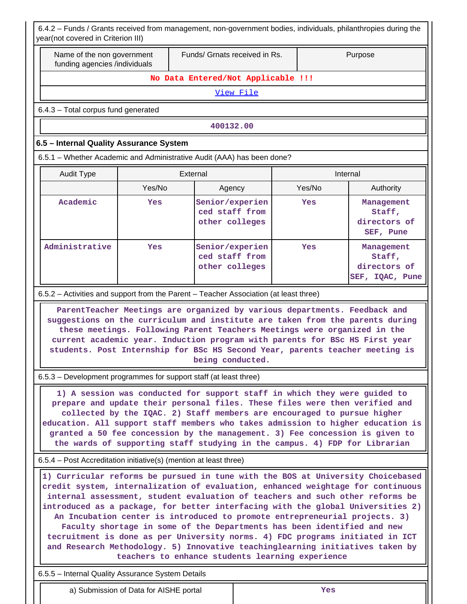6.4.2 – Funds / Grants received from management, non-government bodies, individuals, philanthropies during the  $r($ not covered in Criterion III)

|                                                                   | Name of the non government<br>funding agencies /individuals | Funds/ Grnats received in Rs.                                                                                                                                                                                                                                                                                                                                                                                                                                                        |        | Purpose                                                 |  |  |
|-------------------------------------------------------------------|-------------------------------------------------------------|--------------------------------------------------------------------------------------------------------------------------------------------------------------------------------------------------------------------------------------------------------------------------------------------------------------------------------------------------------------------------------------------------------------------------------------------------------------------------------------|--------|---------------------------------------------------------|--|--|
|                                                                   |                                                             | No Data Entered/Not Applicable !!!                                                                                                                                                                                                                                                                                                                                                                                                                                                   |        |                                                         |  |  |
|                                                                   |                                                             | View File                                                                                                                                                                                                                                                                                                                                                                                                                                                                            |        |                                                         |  |  |
| 6.4.3 - Total corpus fund generated                               |                                                             |                                                                                                                                                                                                                                                                                                                                                                                                                                                                                      |        |                                                         |  |  |
|                                                                   |                                                             | 400132.00                                                                                                                                                                                                                                                                                                                                                                                                                                                                            |        |                                                         |  |  |
| 6.5 - Internal Quality Assurance System                           |                                                             |                                                                                                                                                                                                                                                                                                                                                                                                                                                                                      |        |                                                         |  |  |
|                                                                   |                                                             | 6.5.1 - Whether Academic and Administrative Audit (AAA) has been done?                                                                                                                                                                                                                                                                                                                                                                                                               |        |                                                         |  |  |
| <b>Audit Type</b>                                                 |                                                             | External                                                                                                                                                                                                                                                                                                                                                                                                                                                                             |        | Internal                                                |  |  |
|                                                                   | Yes/No                                                      | Agency                                                                                                                                                                                                                                                                                                                                                                                                                                                                               | Yes/No | Authority                                               |  |  |
| Academic                                                          | Yes                                                         | Senior/experien<br>ced staff from<br>other colleges                                                                                                                                                                                                                                                                                                                                                                                                                                  | Yes    | Management<br>Staff,<br>directors of<br>SEF, Pune       |  |  |
| Administrative                                                    | Yes                                                         | Senior/experien<br>ced staff from<br>other colleges                                                                                                                                                                                                                                                                                                                                                                                                                                  | Yes    | Management<br>Staff,<br>directors of<br>SEF, IQAC, Pune |  |  |
|                                                                   |                                                             | 6.5.2 - Activities and support from the Parent - Teacher Association (at least three)                                                                                                                                                                                                                                                                                                                                                                                                |        |                                                         |  |  |
|                                                                   |                                                             | ParentTeacher Meetings are organized by various departments. Feedback and<br>suggestions on the curriculum and institute are taken from the parents during<br>these meetings. Following Parent Teachers Meetings were organized in the<br>current academic year. Induction program with parents for BSc HS First year<br>students. Post Internship for BSc HS Second Year, parents teacher meeting is                                                                                |        |                                                         |  |  |
|                                                                   |                                                             | being conducted.                                                                                                                                                                                                                                                                                                                                                                                                                                                                     |        |                                                         |  |  |
| 6.5.3 - Development programmes for support staff (at least three) |                                                             |                                                                                                                                                                                                                                                                                                                                                                                                                                                                                      |        |                                                         |  |  |
|                                                                   |                                                             | 1) A session was conducted for support staff in which they were guided to<br>prepare and update their personal files. These files were then verified and<br>collected by the IQAC. 2) Staff members are encouraged to pursue higher<br>education. All support staff members who takes admission to higher education is<br>granted a 50 fee concession by the management. 3) Fee concession is given to<br>the wards of supporting staff studying in the campus. 4) FDP for Librarian |        |                                                         |  |  |
| 6.5.4 – Post Accreditation initiative(s) (mention at least three) |                                                             |                                                                                                                                                                                                                                                                                                                                                                                                                                                                                      |        |                                                         |  |  |

6.5.5 – Internal Quality Assurance System Details

a) Submission of Data for AISHE portal **Yes**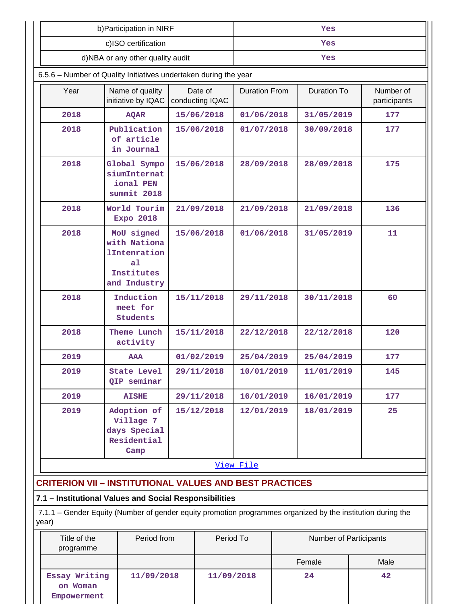|                                  | b) Participation in NIRF                                                                                    |                            |           | Yes                  |            |                    |                           |
|----------------------------------|-------------------------------------------------------------------------------------------------------------|----------------------------|-----------|----------------------|------------|--------------------|---------------------------|
| c)ISO certification              |                                                                                                             |                            | Yes       |                      |            |                    |                           |
| d)NBA or any other quality audit |                                                                                                             |                            | Yes       |                      |            |                    |                           |
|                                  | 6.5.6 - Number of Quality Initiatives undertaken during the year                                            |                            |           |                      |            |                    |                           |
| Year                             | Name of quality<br>initiative by IQAC                                                                       | Date of<br>conducting IQAC |           | <b>Duration From</b> |            | <b>Duration To</b> | Number of<br>participants |
| 2018                             | <b>AQAR</b>                                                                                                 | 15/06/2018                 |           | 01/06/2018           |            | 31/05/2019         | 177                       |
| 2018                             | Publication<br>of article<br>in Journal                                                                     | 15/06/2018                 |           | 01/07/2018           |            | 30/09/2018         | 177                       |
| 2018                             | Global Sympo<br>siumInternat<br>ional PEN<br>summit 2018                                                    | 15/06/2018                 |           | 28/09/2018           |            | 28/09/2018         | 175                       |
| 2018                             | World Tourim<br><b>Expo 2018</b>                                                                            | 21/09/2018                 |           | 21/09/2018           |            | 21/09/2018         | 136                       |
| 2018                             | MoU signed<br>with Nationa<br><b>lIntenration</b><br>a <sub>1</sub><br>Institutes<br>and Industry           | 15/06/2018                 |           | 01/06/2018           |            | 31/05/2019         | 11                        |
| 2018                             | Induction<br>meet for<br>Students                                                                           | 15/11/2018                 |           | 29/11/2018           |            | 30/11/2018         | 60                        |
| 2018                             | Theme Lunch<br>activity                                                                                     | 15/11/2018                 |           | 22/12/2018           |            | 22/12/2018         | 120                       |
| 2019                             | AAA                                                                                                         | 01/02/2019                 |           | 25/04/2019           | 25/04/2019 |                    | 177                       |
| 2019                             | <b>State Level</b><br>QIP seminar                                                                           | 29/11/2018                 |           | 10/01/2019           |            | 11/01/2019         | 145                       |
| 2019                             | <b>AISHE</b>                                                                                                | 29/11/2018                 |           | 16/01/2019           |            | 16/01/2019         | 177                       |
| 2019                             | Adoption of<br>Village 7<br>days Special<br>Residential<br>Camp                                             | 15/12/2018                 |           | 12/01/2019           |            | 18/01/2019         | 25                        |
|                                  |                                                                                                             |                            |           | View File            |            |                    |                           |
|                                  | <b>CRITERION VII - INSTITUTIONAL VALUES AND BEST PRACTICES</b>                                              |                            |           |                      |            |                    |                           |
|                                  | 7.1 - Institutional Values and Social Responsibilities                                                      |                            |           |                      |            |                    |                           |
| year)                            | 7.1.1 – Gender Equity (Number of gender equity promotion programmes organized by the institution during the |                            |           |                      |            |                    |                           |
| Title of the<br>programme        | Period from                                                                                                 |                            | Period To |                      |            |                    | Number of Participants    |
|                                  |                                                                                                             |                            |           |                      |            | Female             | Male                      |
| Essay Writing<br>on Woman        | 11/09/2018                                                                                                  |                            |           | 11/09/2018           | 24         |                    | 42                        |

**Empowerment**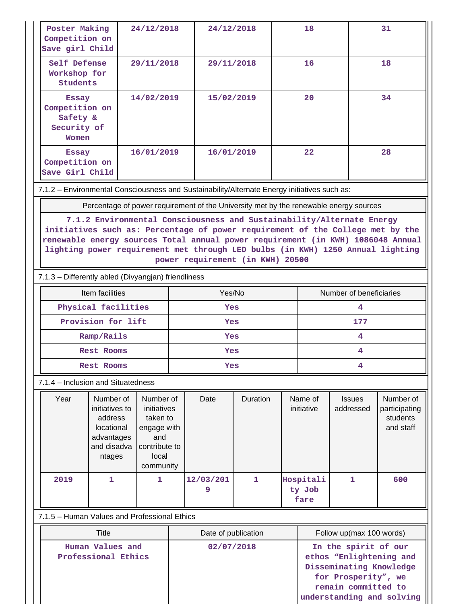| Poster Making<br>Competition on<br>Save girl Child                 |                                                                                                                                                                                                                                                                                                            | 24/12/2018                                                                                        | 24/12/2018 |                     |                                             | 18 |                                                                                                   | 31                         |                                                     |  |
|--------------------------------------------------------------------|------------------------------------------------------------------------------------------------------------------------------------------------------------------------------------------------------------------------------------------------------------------------------------------------------------|---------------------------------------------------------------------------------------------------|------------|---------------------|---------------------------------------------|----|---------------------------------------------------------------------------------------------------|----------------------------|-----------------------------------------------------|--|
| Self Defense<br>Workshop for<br><b>Students</b>                    |                                                                                                                                                                                                                                                                                                            | 29/11/2018                                                                                        |            | 29/11/2018          |                                             |    | 16                                                                                                |                            | 18                                                  |  |
| <b>Essay</b><br>Competition on<br>Safety &<br>Security of<br>Women |                                                                                                                                                                                                                                                                                                            | 14/02/2019                                                                                        |            | 15/02/2019          |                                             |    | 20                                                                                                |                            | 34                                                  |  |
| <b>Essay</b><br>Competition on<br>Save Girl Child                  |                                                                                                                                                                                                                                                                                                            | 16/01/2019                                                                                        |            | 16/01/2019          |                                             |    | 22                                                                                                |                            | 28                                                  |  |
|                                                                    | 7.1.2 - Environmental Consciousness and Sustainability/Alternate Energy initiatives such as:                                                                                                                                                                                                               |                                                                                                   |            |                     |                                             |    |                                                                                                   |                            |                                                     |  |
|                                                                    | Percentage of power requirement of the University met by the renewable energy sources                                                                                                                                                                                                                      |                                                                                                   |            |                     |                                             |    |                                                                                                   |                            |                                                     |  |
|                                                                    | initiatives such as: Percentage of power requirement of the College met by the<br>renewable energy sources Total annual power requirement (in KWH) 1086048 Annual<br>lighting power requirement met through LED bulbs (in KWH) 1250 Annual lighting<br>7.1.3 - Differently abled (Divyangjan) friendliness |                                                                                                   |            |                     | power requirement (in KWH) 20500            |    |                                                                                                   |                            |                                                     |  |
|                                                                    |                                                                                                                                                                                                                                                                                                            |                                                                                                   |            |                     |                                             |    |                                                                                                   | Number of beneficiaries    |                                                     |  |
|                                                                    | Item facilities<br>Physical facilities                                                                                                                                                                                                                                                                     |                                                                                                   |            | Yes/No<br>Yes       |                                             |    | 4                                                                                                 |                            |                                                     |  |
|                                                                    | Provision for lift                                                                                                                                                                                                                                                                                         |                                                                                                   |            | Yes                 |                                             |    | 177                                                                                               |                            |                                                     |  |
|                                                                    | Ramp/Rails                                                                                                                                                                                                                                                                                                 |                                                                                                   |            | Yes                 |                                             |    | 4                                                                                                 |                            |                                                     |  |
|                                                                    | <b>Rest Rooms</b>                                                                                                                                                                                                                                                                                          |                                                                                                   |            | Yes                 |                                             |    | 4                                                                                                 |                            |                                                     |  |
|                                                                    | <b>Rest Rooms</b>                                                                                                                                                                                                                                                                                          |                                                                                                   |            | Yes                 |                                             |    | 4                                                                                                 |                            |                                                     |  |
|                                                                    | 7.1.4 – Inclusion and Situatedness                                                                                                                                                                                                                                                                         |                                                                                                   |            |                     |                                             |    |                                                                                                   |                            |                                                     |  |
| Year                                                               | Number of<br>initiatives to<br>address<br>locational<br>advantages<br>and disadva<br>ntages                                                                                                                                                                                                                | Number of<br>initiatives<br>taken to<br>engage with<br>and<br>contribute to<br>local<br>community |            | Date                | Duration                                    |    | Name of<br>initiative                                                                             | <b>Issues</b><br>addressed | Number of<br>participating<br>students<br>and staff |  |
| 2019                                                               | 1                                                                                                                                                                                                                                                                                                          | 1                                                                                                 |            | 12/03/201<br>9      | $\mathbf{1}$<br>Hospitali<br>ty Job<br>fare |    |                                                                                                   | 1                          | 600                                                 |  |
| 7.1.5 - Human Values and Professional Ethics                       |                                                                                                                                                                                                                                                                                                            |                                                                                                   |            |                     |                                             |    |                                                                                                   |                            |                                                     |  |
|                                                                    | Title                                                                                                                                                                                                                                                                                                      |                                                                                                   |            | Date of publication |                                             |    | Follow up(max 100 words)                                                                          |                            |                                                     |  |
| Human Values and<br>Professional Ethics                            |                                                                                                                                                                                                                                                                                                            |                                                                                                   | 02/07/2018 |                     |                                             |    | In the spirit of our<br>ethos "Enlightening and<br>Disseminating Knowledge<br>for Prosperity", we |                            |                                                     |  |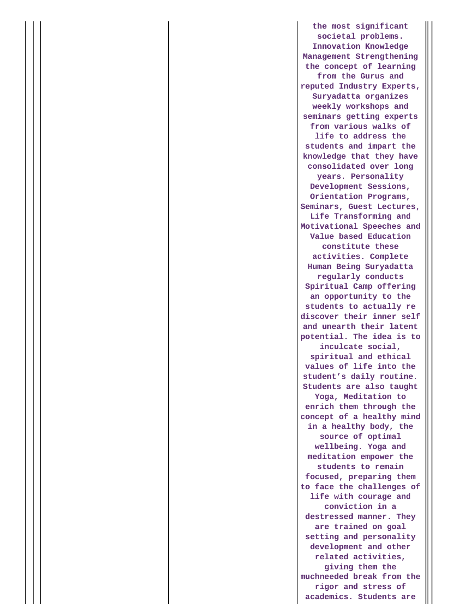**the most significant societal problems. Innovation Knowledge Management Strengthening the concept of learning from the Gurus and reputed Industry Experts, Suryadatta organizes weekly workshops and seminars getting experts from various walks of life to address the students and impart the knowledge that they have consolidated over long years. Personality Development Sessions, Orientation Programs, Seminars, Guest Lectures, Life Transforming and Motivational Speeches and Value based Education constitute these activities. Complete Human Being Suryadatta regularly conducts Spiritual Camp offering an opportunity to the students to actually re discover their inner self and unearth their latent potential. The idea is to inculcate social, spiritual and ethical values of life into the student's daily routine. Students are also taught Yoga, Meditation to enrich them through the concept of a healthy mind in a healthy body, the source of optimal wellbeing. Yoga and meditation empower the students to remain focused, preparing them to face the challenges of life with courage and conviction in a destressed manner. They are trained on goal setting and personality development and other related activities, giving them the muchneeded break from the rigor and stress of academics. Students are**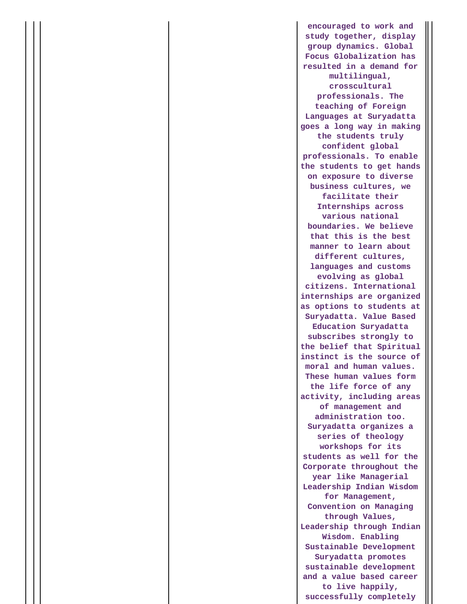**encouraged to work and study together, display group dynamics. Global Focus Globalization has resulted in a demand for multilingual, crosscultural professionals. The teaching of Foreign Languages at Suryadatta goes a long way in making the students truly confident global professionals. To enable the students to get hands on exposure to diverse business cultures, we facilitate their Internships across various national boundaries. We believe that this is the best manner to learn about different cultures, languages and customs evolving as global citizens. International internships are organized as options to students at Suryadatta. Value Based Education Suryadatta subscribes strongly to the belief that Spiritual instinct is the source of moral and human values. These human values form the life force of any activity, including areas of management and administration too. Suryadatta organizes a series of theology workshops for its students as well for the Corporate throughout the year like Managerial Leadership Indian Wisdom for Management, Convention on Managing through Values, Leadership through Indian Wisdom. Enabling Sustainable Development Suryadatta promotes sustainable development and a value based career to live happily, successfully completely**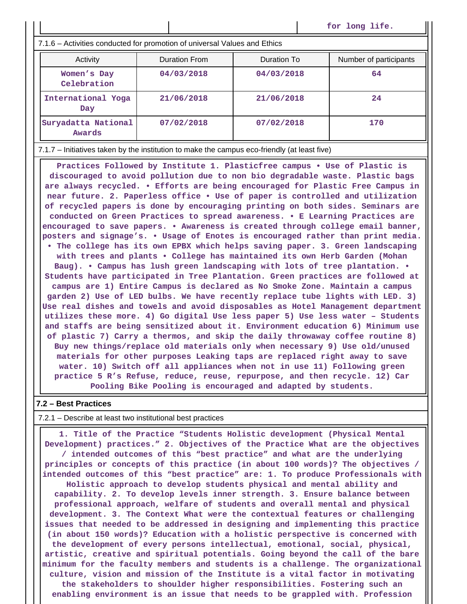**for long life.**

7.1.6 – Activities conducted for promotion of universal Values and Ethics

| Activity                      | <b>Duration From</b> | Duration To | Number of participants |
|-------------------------------|----------------------|-------------|------------------------|
| Women's Day<br>Celebration    | 04/03/2018           | 04/03/2018  | 64                     |
| International Yoga<br>Day     | 21/06/2018           | 21/06/2018  | 24                     |
| Suryadatta National<br>Awards | 07/02/2018           | 07/02/2018  | 170                    |

7.1.7 – Initiatives taken by the institution to make the campus eco-friendly (at least five)

**Practices Followed by Institute 1. Plasticfree campus • Use of Plastic is discouraged to avoid pollution due to non bio degradable waste. Plastic bags are always recycled. • Efforts are being encouraged for Plastic Free Campus in near future. 2. Paperless office • Use of paper is controlled and utilization of recycled papers is done by encouraging printing on both sides. Seminars are conducted on Green Practices to spread awareness. • E Learning Practices are encouraged to save papers. • Awareness is created through college email banner, posters and signage's. • Usage of Enotes is encouraged rather than print media. • The college has its own EPBX which helps saving paper. 3. Green landscaping with trees and plants • College has maintained its own Herb Garden (Mohan Baug). • Campus has lush green landscaping with lots of tree plantation. • Students have participated in Tree Plantation. Green practices are followed at campus are 1) Entire Campus is declared as No Smoke Zone. Maintain a campus garden 2) Use of LED bulbs. We have recently replace tube lights with LED. 3) Use real dishes and towels and avoid disposables as Hotel Management department utilizes these more. 4) Go digital Use less paper 5) Use less water – Students and staffs are being sensitized about it. Environment education 6) Minimum use of plastic 7) Carry a thermos, and skip the daily throwaway coffee routine 8) Buy new things/replace old materials only when necessary 9) Use old/unused materials for other purposes Leaking taps are replaced right away to save water. 10) Switch off all appliances when not in use 11) Following green practice 5 R's Refuse, reduce, reuse, repurpose, and then recycle. 12) Car Pooling Bike Pooling is encouraged and adapted by students.**

#### **7.2 – Best Practices**

7.2.1 – Describe at least two institutional best practices

**1. Title of the Practice "Students Holistic development (Physical Mental Development) practices." 2. Objectives of the Practice What are the objectives / intended outcomes of this "best practice" and what are the underlying principles or concepts of this practice (in about 100 words)? The objectives / intended outcomes of this "best practice" are: 1. To produce Professionals with Holistic approach to develop students physical and mental ability and capability. 2. To develop levels inner strength. 3. Ensure balance between professional approach, welfare of students and overall mental and physical development. 3. The Context What were the contextual features or challenging issues that needed to be addressed in designing and implementing this practice (in about 150 words)? Education with a holistic perspective is concerned with the development of every persons intellectual, emotional, social, physical, artistic, creative and spiritual potentials. Going beyond the call of the bare minimum for the faculty members and students is a challenge. The organizational culture, vision and mission of the Institute is a vital factor in motivating the stakeholders to shoulder higher responsibilities. Fostering such an enabling environment is an issue that needs to be grappled with. Profession**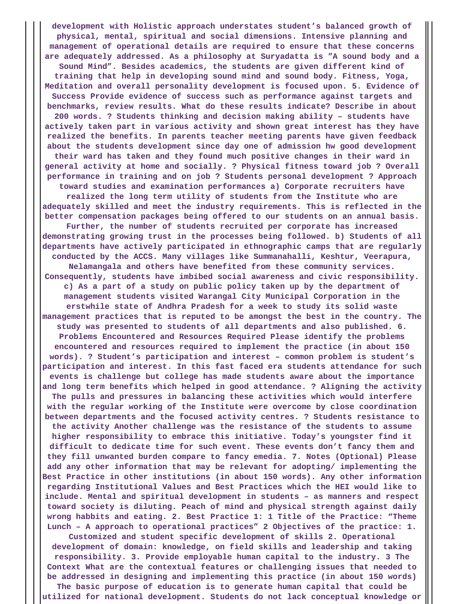**development with Holistic approach understates student's balanced growth of physical, mental, spiritual and social dimensions. Intensive planning and management of operational details are required to ensure that these concerns are adequately addressed. As a philosophy at Suryadatta is "A sound body and a Sound Mind". Besides academics, the students are given different kind of training that help in developing sound mind and sound body. Fitness, Yoga, Meditation and overall personality development is focused upon. 5. Evidence of Success Provide evidence of success such as performance against targets and benchmarks, review results. What do these results indicate? Describe in about 200 words. ? Students thinking and decision making ability – students have actively taken part in various activity and shown great interest has they have realized the benefits. In parents teacher meeting parents have given feedback about the students development since day one of admission hw good development their ward has taken and they found much positive changes in their ward in general activity at home and socially. ? Physical fitness toward job ? Overall performance in training and on job ? Students personal development ? Approach toward studies and examination performances a) Corporate recruiters have realized the long term utility of students from the Institute who are adequately skilled and meet the industry requirements. This is reflected in the better compensation packages being offered to our students on an annual basis. Further, the number of students recruited per corporate has increased demonstrating growing trust in the processes being followed. b) Students of all departments have actively participated in ethnographic camps that are regularly conducted by the ACCS. Many villages like Summanahalli, Keshtur, Veerapura, Nelamangala and others have benefited from these community services. Consequently, students have imbibed social awareness and civic responsibility. c) As a part of a study on public policy taken up by the department of management students visited Warangal City Municipal Corporation in the erstwhile state of Andhra Pradesh for a week to study its solid waste management practices that is reputed to be amongst the best in the country. The study was presented to students of all departments and also published. 6. Problems Encountered and Resources Required Please identify the problems encountered and resources required to implement the practice (in about 150 words). ? Student's participation and interest – common problem is student's participation and interest. In this fast faced era students attendance for such events is challenge but college has made students aware about the importance and long term benefits which helped in good attendance. ? Aligning the activity The pulls and pressures in balancing these activities which would interfere with the regular working of the Institute were overcome by close coordination between departments and the focused activity centres. ? Students resistance to the activity Another challenge was the resistance of the students to assume higher responsibility to embrace this initiative. Today's youngster find it difficult to dedicate time for such event. These events don't fancy them and they fill unwanted burden compare to fancy emedia. 7. Notes (Optional) Please add any other information that may be relevant for adopting/ implementing the Best Practice in other institutions (in about 150 words). Any other information regarding Institutional Values and Best Practices which the HEI would like to include. Mental and spiritual development in students – as manners and respect toward society is diluting. Peach of mind and physical strength against daily wrong habbits and eating. 2. Best Practice 1: 1 Title of the Practice: "Theme Lunch – A approach to operational practices" 2 Objectives of the practice: 1.**

**Customized and student specific development of skills 2. Operational development of domain: knowledge, on field skills and leadership and taking responsibility. 3. Provide employable human capital to the industry. 3 The Context What are the contextual features or challenging issues that needed to be addressed in designing and implementing this practice (in about 150 words)**

**The basic purpose of education is to generate human capital that could be utilized for national development. Students do not lack conceptual knowledge or**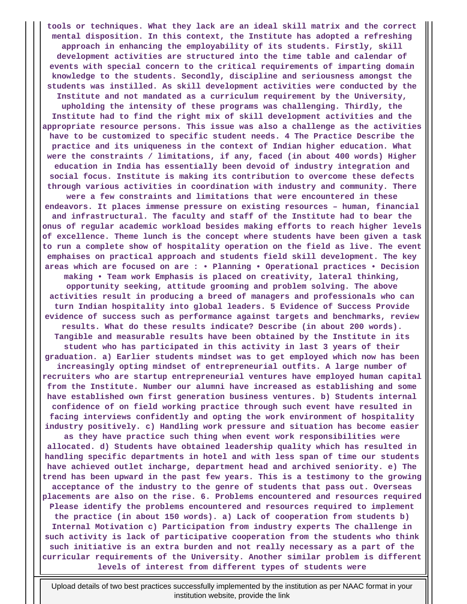**tools or techniques. What they lack are an ideal skill matrix and the correct mental disposition. In this context, the Institute has adopted a refreshing approach in enhancing the employability of its students. Firstly, skill development activities are structured into the time table and calendar of events with special concern to the critical requirements of imparting domain knowledge to the students. Secondly, discipline and seriousness amongst the students was instilled. As skill development activities were conducted by the Institute and not mandated as a curriculum requirement by the University, upholding the intensity of these programs was challenging. Thirdly, the Institute had to find the right mix of skill development activities and the appropriate resource persons. This issue was also a challenge as the activities have to be customized to specific student needs. 4 The Practice Describe the practice and its uniqueness in the context of Indian higher education. What were the constraints / limitations, if any, faced (in about 400 words) Higher education in India has essentially been devoid of industry integration and social focus. Institute is making its contribution to overcome these defects through various activities in coordination with industry and community. There were a few constraints and limitations that were encountered in these endeavors. It places immense pressure on existing resources – human, financial and infrastructural. The faculty and staff of the Institute had to bear the onus of regular academic workload besides making efforts to reach higher levels of excellence. Theme lunch is the concept where students have been given a task to run a complete show of hospitality operation on the field as live. The event emphaises on practical approach and students field skill development. The key areas which are focused on are : • Planning • Operational practices • Decision making • Team work Emphasis is placed on creativity, lateral thinking, opportunity seeking, attitude grooming and problem solving. The above activities result in producing a breed of managers and professionals who can turn Indian hospitality into global leaders. 5 Evidence of Success Provide evidence of success such as performance against targets and benchmarks, review results. What do these results indicate? Describe (in about 200 words). Tangible and measurable results have been obtained by the Institute in its student who has participated in this activity in last 3 years of their graduation. a) Earlier students mindset was to get employed which now has been increasingly opting mindset of entrepreneurial outfits. A large number of recruiters who are startup entrepreneurial ventures have employed human capital from the Institute. Number our alumni have increased as establishing and some have established own first generation business ventures. b) Students internal confidence of on field working practice through such event have resulted in facing interviews confidently and opting the work environment of hospitality industry positively. c) Handling work pressure and situation has become easier as they have practice such thing when event work responsibilities were allocated. d) Students have obtained leadership quality which has resulted in handling specific departments in hotel and with less span of time our students have achieved outlet incharge, department head and archived seniority. e) The trend has been upward in the past few years. This is a testimony to the growing acceptance of the industry to the genre of students that pass out. Overseas placements are also on the rise. 6. Problems encountered and resources required Please identify the problems encountered and resources required to implement the practice (in about 150 words). a) Lack of cooperation from students b) Internal Motivation c) Participation from industry experts The challenge in such activity is lack of participative cooperation from the students who think such initiative is an extra burden and not really necessary as a part of the curricular requirements of the University. Another similar problem is different levels of interest from different types of students were**

Upload details of two best practices successfully implemented by the institution as per NAAC format in your institution website, provide the link